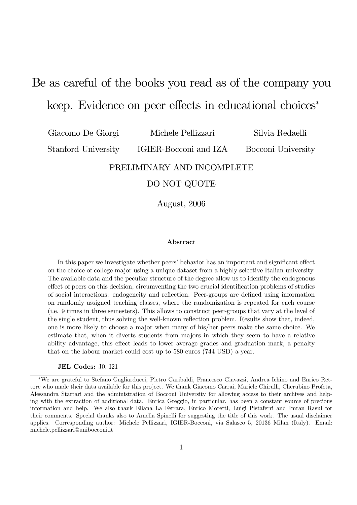# Be as careful of the books you read as of the company you keep. Evidence on peer effects in educational choices<sup>∗</sup>

Giacomo De Giorgi

Michele Pellizzari

Silvia Redaelli

Stanford University

IGIER-Bocconi and IZA

Bocconi University

### PRELIMINARY AND INCOMPLETE

### DO NOT QUOTE

August, 2006

#### Abstract

In this paper we investigate whether peers' behavior has an important and significant effect on the choice of college major using a unique dataset from a highly selective Italian university. The available data and the peculiar structure of the degree allow us to identify the endogenous effect of peers on this decision, circumventing the two crucial identification problems of studies of social interactions: endogeneity and reflection. Peer-groups are defined using information on randomly assigned teaching classes, where the randomization is repeated for each course (i.e. 9 times in three semesters). This allows to construct peer-groups that vary at the level of the single student, thus solving the well-known reflection problem. Results show that, indeed, one is more likely to choose a major when many of his/her peers make the same choice. We estimate that, when it diverts students from majors in which they seem to have a relative ability advantage, this effect leads to lower average grades and graduation mark, a penalty that on the labour market could cost up to 580 euros (744 USD) a year.

#### JEL Codes: J0, I21

<sup>∗</sup>We are grateful to Stefano Gagliarducci, Pietro Garibaldi, Francesco Giavazzi, Andrea Ichino and Enrico Rettore who made their data available for this project. We thank Giacomo Carrai, Mariele Chirulli, Cherubino Profeta, Alessandra Startari and the administration of Bocconi University for allowing access to their archives and helping with the extraction of additional data. Enrica Greggio, in particular, has been a constant source of precious information and help. We also thank Eliana La Ferrara, Enrico Moretti, Luigi Pistaferri and Imran Rasul for their comments. Special thanks also to Amelia Spinelli for suggesting the title of this work. The usual disclaimer applies. Corresponding author: Michele Pellizzari, IGIER-Bocconi, via Salasco 5, 20136 Milan (Italy). Email: michele.pellizzari@unibocconi.it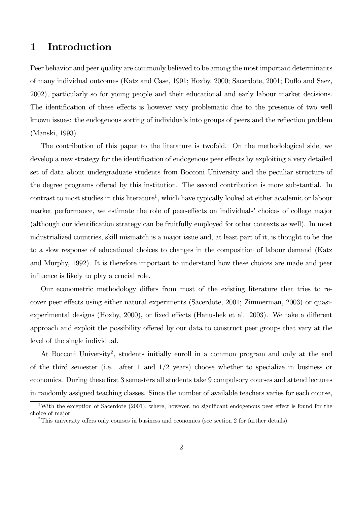# 1 Introduction

Peer behavior and peer quality are commonly believed to be among the most important determinants of many individual outcomes (Katz and Case, 1991; Hoxby, 2000; Sacerdote, 2001; Duflo and Saez, 2002), particularly so for young people and their educational and early labour market decisions. The identification of these effects is however very problematic due to the presence of two well known issues: the endogenous sorting of individuals into groups of peers and the reflection problem (Manski, 1993).

The contribution of this paper to the literature is twofold. On the methodological side, we develop a new strategy for the identification of endogenous peer effects by exploiting a very detailed set of data about undergraduate students from Bocconi University and the peculiar structure of the degree programs offered by this institution. The second contribution is more substantial. In contrast to most studies in this literature<sup>1</sup>, which have typically looked at either academic or labour market performance, we estimate the role of peer-effects on individuals' choices of college major (although our identification strategy can be fruitfully employed for other contexts as well). In most industrialized countries, skill mismatch is a major issue and, at least part of it, is thought to be due to a slow response of educational choices to changes in the composition of labour demand (Katz and Murphy, 1992). It is therefore important to understand how these choices are made and peer influence is likely to play a crucial role.

Our econometric methodology differs from most of the existing literature that tries to recover peer effects using either natural experiments (Sacerdote, 2001; Zimmerman, 2003) or quasiexperimental designs (Hoxby, 2000), or fixed effects (Hanushek et al. 2003). We take a different approach and exploit the possibility offered by our data to construct peer groups that vary at the level of the single individual.

At Bocconi University<sup>2</sup>, students initially enroll in a common program and only at the end of the third semester (i.e. after 1 and  $1/2$  years) choose whether to specialize in business or economics. During these first 3 semesters all students take 9 compulsory courses and attend lectures in randomly assigned teaching classes. Since the number of available teachers varies for each course,

<sup>&</sup>lt;sup>1</sup>With the exception of Sacerdote (2001), where, however, no significant endogenous peer effect is found for the choice of major.

<sup>2</sup>This university offers only courses in business and economics (see section 2 for further details).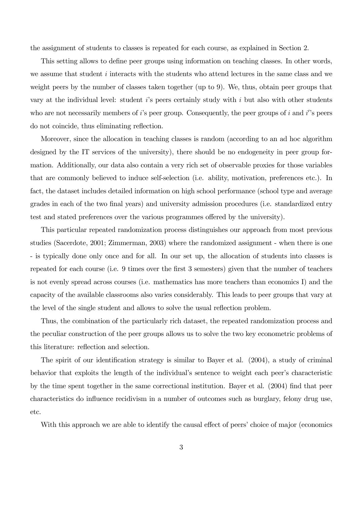the assignment of students to classes is repeated for each course, as explained in Section 2.

This setting allows to define peer groups using information on teaching classes. In other words, we assume that student *i* interacts with the students who attend lectures in the same class and we weight peers by the number of classes taken together (up to 9). We, thus, obtain peer groups that vary at the individual level: student  $i$ 's peers certainly study with  $i$  but also with other students who are not necessarily members of *i*'s peer group. Consequently, the peer groups of *i* and *i*''s peers do not coincide, thus eliminating reflection.

Moreover, since the allocation in teaching classes is random (according to an ad hoc algorithm designed by the IT services of the university), there should be no endogeneity in peer group formation. Additionally, our data also contain a very rich set of observable proxies for those variables that are commonly believed to induce self-selection (i.e. ability, motivation, preferences etc.). In fact, the dataset includes detailed information on high school performance (school type and average grades in each of the two final years) and university admission procedures (i.e. standardized entry test and stated preferences over the various programmes offered by the university).

This particular repeated randomization process distinguishes our approach from most previous studies (Sacerdote, 2001; Zimmerman, 2003) where the randomized assignment - when there is one - is typically done only once and for all. In our set up, the allocation of students into classes is repeated for each course (i.e. 9 times over the first 3 semesters) given that the number of teachers is not evenly spread across courses (i.e. mathematics has more teachers than economics I) and the capacity of the available classrooms also varies considerably. This leads to peer groups that vary at the level of the single student and allows to solve the usual reflection problem.

Thus, the combination of the particularly rich dataset, the repeated randomization process and the peculiar construction of the peer groups allows us to solve the two key econometric problems of this literature: reflection and selection.

The spirit of our identification strategy is similar to Bayer et al. (2004), a study of criminal behavior that exploits the length of the individual's sentence to weight each peer's characteristic by the time spent together in the same correctional institution. Bayer et al. (2004) find that peer characteristics do influence recidivism in a number of outcomes such as burglary, felony drug use, etc.

With this approach we are able to identify the causal effect of peers' choice of major (economics)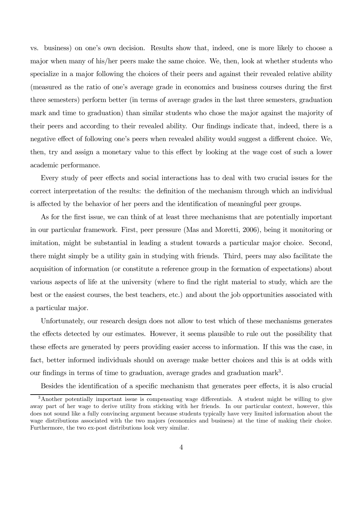vs. business) on one's own decision. Results show that, indeed, one is more likely to choose a major when many of his/her peers make the same choice. We, then, look at whether students who specialize in a major following the choices of their peers and against their revealed relative ability (measured as the ratio of one's average grade in economics and business courses during the first three semesters) perform better (in terms of average grades in the last three semesters, graduation mark and time to graduation) than similar students who chose the major against the majority of their peers and according to their revealed ability. Our findings indicate that, indeed, there is a negative effect of following one's peers when revealed ability would suggest a different choice. We, then, try and assign a monetary value to this effect by looking at the wage cost of such a lower academic performance.

Every study of peer effects and social interactions has to deal with two crucial issues for the correct interpretation of the results: the definition of the mechanism through which an individual is affected by the behavior of her peers and the identification of meaningful peer groups.

As for the first issue, we can think of at least three mechanisms that are potentially important in our particular framework. First, peer pressure (Mas and Moretti, 2006), being it monitoring or imitation, might be substantial in leading a student towards a particular major choice. Second, there might simply be a utility gain in studying with friends. Third, peers may also facilitate the acquisition of information (or constitute a reference group in the formation of expectations) about various aspects of life at the university (where to find the right material to study, which are the best or the easiest courses, the best teachers, etc.) and about the job opportunities associated with a particular major.

Unfortunately, our research design does not allow to test which of these mechanisms generates the effects detected by our estimates. However, it seems plausible to rule out the possibility that these effects are generated by peers providing easier access to information. If this was the case, in fact, better informed individuals should on average make better choices and this is at odds with our findings in terms of time to graduation, average grades and graduation mark<sup>3</sup>.

Besides the identification of a specific mechanism that generates peer effects, it is also crucial

<sup>3</sup>Another potentially important issue is compensating wage differentials. A student might be willing to give away part of her wage to derive utility from sticking with her friends. In our particular context, however, this does not sound like a fully convincing argument because students typically have very limited information about the wage distributions associated with the two majors (economics and business) at the time of making their choice. Furthermore, the two ex-post distributions look very similar.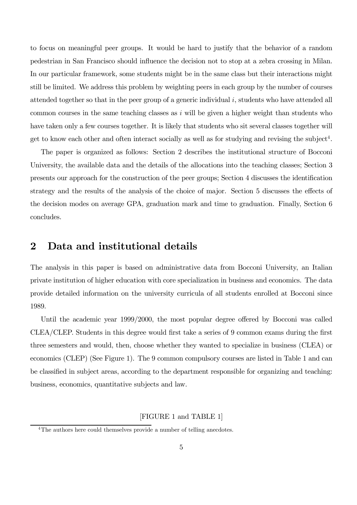to focus on meaningful peer groups. It would be hard to justify that the behavior of a random pedestrian in San Francisco should influence the decision not to stop at a zebra crossing in Milan. In our particular framework, some students might be in the same class but their interactions might still be limited. We address this problem by weighting peers in each group by the number of courses attended together so that in the peer group of a generic individual i, students who have attended all common courses in the same teaching classes as  $i$  will be given a higher weight than students who have taken only a few courses together. It is likely that students who sit several classes together will get to know each other and often interact socially as well as for studying and revising the subject<sup>4</sup>.

The paper is organized as follows: Section 2 describes the institutional structure of Bocconi University, the available data and the details of the allocations into the teaching classes; Section 3 presents our approach for the construction of the peer groups; Section 4 discusses the identification strategy and the results of the analysis of the choice of major. Section 5 discusses the effects of the decision modes on average GPA, graduation mark and time to graduation. Finally, Section 6 concludes.

# 2 Data and institutional details

The analysis in this paper is based on administrative data from Bocconi University, an Italian private institution of higher education with core specialization in business and economics. The data provide detailed information on the university curricula of all students enrolled at Bocconi since 1989.

Until the academic year 1999/2000, the most popular degree offered by Bocconi was called CLEA/CLEP. Students in this degree would first take a series of 9 common exams during the first three semesters and would, then, choose whether they wanted to specialize in business (CLEA) or economics (CLEP) (See Figure 1). The 9 common compulsory courses are listed in Table 1 and can be classified in subject areas, according to the department responsible for organizing and teaching: business, economics, quantitative subjects and law.

#### [FIGURE 1 and TABLE 1]

<sup>&</sup>lt;sup>4</sup>The authors here could themselves provide a number of telling anecdotes.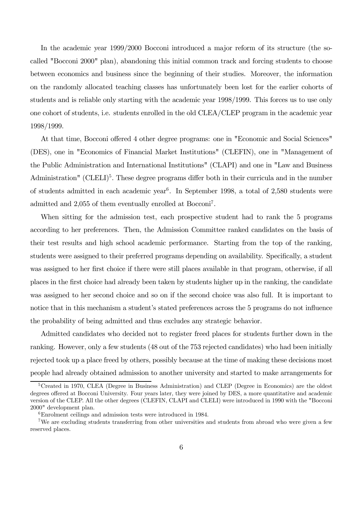In the academic year 1999/2000 Bocconi introduced a major reform of its structure (the socalled "Bocconi 2000" plan), abandoning this initial common track and forcing students to choose between economics and business since the beginning of their studies. Moreover, the information on the randomly allocated teaching classes has unfortunately been lost for the earlier cohorts of students and is reliable only starting with the academic year 1998/1999. This forces us to use only one cohort of students, i.e. students enrolled in the old CLEA/CLEP program in the academic year 1998/1999.

At that time, Bocconi offered 4 other degree programs: one in "Economic and Social Sciences" (DES), one in "Economics of Financial Market Institutions" (CLEFIN), one in "Management of the Public Administration and International Institutions" (CLAPI) and one in "Law and Business Administration" (CLELI)<sup>5</sup>. These degree programs differ both in their curricula and in the number of students admitted in each academic year<sup>6</sup>. In September 1998, a total of  $2,580$  students were admitted and 2,055 of them eventually enrolled at Bocconi7.

When sitting for the admission test, each prospective student had to rank the 5 programs according to her preferences. Then, the Admission Committee ranked candidates on the basis of their test results and high school academic performance. Starting from the top of the ranking, students were assigned to their preferred programs depending on availability. Specifically, a student was assigned to her first choice if there were still places available in that program, otherwise, if all places in the first choice had already been taken by students higher up in the ranking, the candidate was assigned to her second choice and so on if the second choice was also full. It is important to notice that in this mechanism a student's stated preferences across the 5 programs do not influence the probability of being admitted and thus excludes any strategic behavior.

Admitted candidates who decided not to register freed places for students further down in the ranking. However, only a few students (48 out of the 753 rejected candidates) who had been initially rejected took up a place freed by others, possibly because at the time of making these decisions most people had already obtained admission to another university and started to make arrangements for

<sup>&</sup>lt;sup>5</sup>Created in 1970, CLEA (Degree in Business Administration) and CLEP (Degree in Economics) are the oldest degrees offered at Bocconi University. Four years later, they were joined by DES, a more quantitative and academic version of the CLEP. All the other degrees (CLEFIN, CLAPI and CLELI) were introduced in 1990 with the "Bocconi 2000" development plan.

<sup>6</sup>Enrolment ceilings and admission tests were introduced in 1984.

<sup>&</sup>lt;sup>7</sup>We are excluding students transferring from other universities and students from abroad who were given a few reserved places.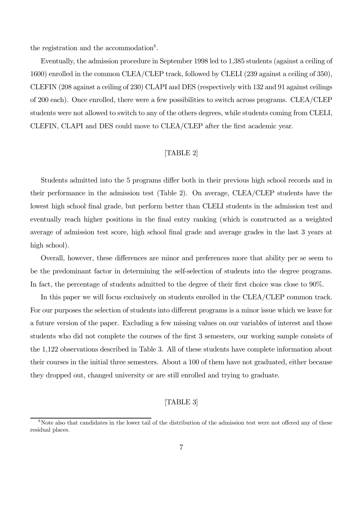the registration and the accommodation<sup>8</sup>.

Eventually, the admission procedure in September 1998 led to 1,385 students (against a ceiling of 1600) enrolled in the common CLEA/CLEP track, followed by CLELI (239 against a ceiling of 350), CLEFIN (208 against a ceiling of 230) CLAPI and DES (respectively with 132 and 91 against ceilings of 200 each). Once enrolled, there were a few possibilities to switch across programs. CLEA/CLEP students were not allowed to switch to any of the others degrees, while students coming from CLELI, CLEFIN, CLAPI and DES could move to CLEA/CLEP after the first academic year.

#### [TABLE 2]

Students admitted into the 5 programs differ both in their previous high school records and in their performance in the admission test (Table 2). On average, CLEA/CLEP students have the lowest high school final grade, but perform better than CLELI students in the admission test and eventually reach higher positions in the final entry ranking (which is constructed as a weighted average of admission test score, high school final grade and average grades in the last 3 years at high school).

Overall, however, these differences are minor and preferences more that ability per se seem to be the predominant factor in determining the self-selection of students into the degree programs. In fact, the percentage of students admitted to the degree of their first choice was close to 90%.

In this paper we will focus exclusively on students enrolled in the CLEA/CLEP common track. For our purposes the selection of students into different programs is a minor issue which we leave for a future version of the paper. Excluding a few missing values on our variables of interest and those students who did not complete the courses of the first 3 semesters, our working sample consists of the 1,122 observations described in Table 3. All of these students have complete information about their courses in the initial three semesters. About a 100 of them have not graduated, either because they dropped out, changed university or are still enrolled and trying to graduate.

#### [TABLE 3]

<sup>&</sup>lt;sup>8</sup>Note also that candidates in the lower tail of the distribution of the admission test were not offered any of these residual places.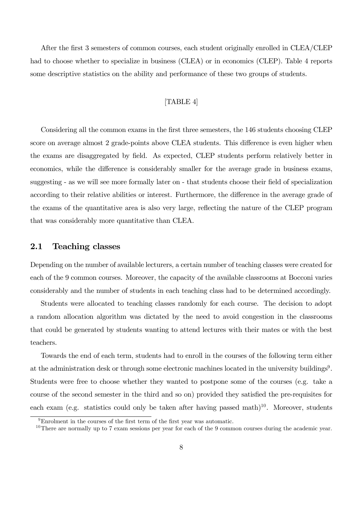After the first 3 semesters of common courses, each student originally enrolled in CLEA/CLEP had to choose whether to specialize in business (CLEA) or in economics (CLEP). Table 4 reports some descriptive statistics on the ability and performance of these two groups of students.

### [TABLE 4]

Considering all the common exams in the first three semesters, the 146 students choosing CLEP score on average almost 2 grade-points above CLEA students. This difference is even higher when the exams are disaggregated by field. As expected, CLEP students perform relatively better in economics, while the difference is considerably smaller for the average grade in business exams, suggesting - as we will see more formally later on - that students choose their field of specialization according to their relative abilities or interest. Furthermore, the difference in the average grade of the exams of the quantitative area is also very large, reflecting the nature of the CLEP program that was considerably more quantitative than CLEA.

#### 2.1 Teaching classes

Depending on the number of available lecturers, a certain number of teaching classes were created for each of the 9 common courses. Moreover, the capacity of the available classrooms at Bocconi varies considerably and the number of students in each teaching class had to be determined accordingly.

Students were allocated to teaching classes randomly for each course. The decision to adopt a random allocation algorithm was dictated by the need to avoid congestion in the classrooms that could be generated by students wanting to attend lectures with their mates or with the best teachers.

Towards the end of each term, students had to enroll in the courses of the following term either at the administration desk or through some electronic machines located in the university buildings<sup>9</sup>. Students were free to choose whether they wanted to postpone some of the courses (e.g. take a course of the second semester in the third and so on) provided they satisfied the pre-requisites for each exam (e.g. statistics could only be taken after having passed math)<sup>10</sup>. Moreover, students

<sup>9</sup>Enrolment in the courses of the first term of the first year was automatic.

 $10$ There are normally up to 7 exam sessions per year for each of the 9 common courses during the academic year.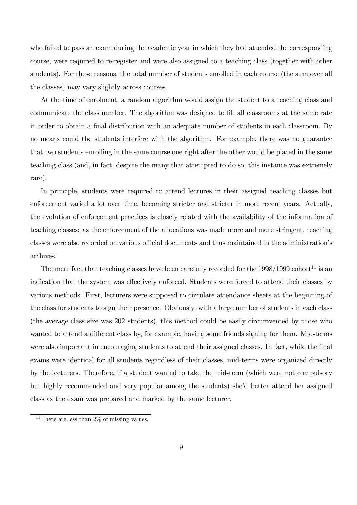who failed to pass an exam during the academic year in which they had attended the corresponding course, were required to re-register and were also assigned to a teaching class (together with other students). For these reasons, the total number of students enrolled in each course (the sum over all the classes) may vary slightly across courses.

At the time of enrolment, a random algorithm would assign the student to a teaching class and communicate the class number. The algorithm was designed to fill all classrooms at the same rate in order to obtain a final distribution with an adequate number of students in each classroom. By no means could the students interfere with the algorithm. For example, there was no guarantee that two students enrolling in the same course one right after the other would be placed in the same teaching class (and, in fact, despite the many that attempted to do so, this instance was extremely rare).

In principle, students were required to attend lectures in their assigned teaching classes but enforcement varied a lot over time, becoming stricter and stricter in more recent years. Actually, the evolution of enforcement practices is closely related with the availability of the information of teaching classes: as the enforcement of the allocations was made more and more stringent, teaching classes were also recorded on various official documents and thus maintained in the administration's archives.

The mere fact that teaching classes have been carefully recorded for the  $1998/1999$  cohort<sup>11</sup> is an indication that the system was effectively enforced. Students were forced to attend their classes by various methods. First, lecturers were supposed to circulate attendance sheets at the beginning of the class for students to sign their presence. Obviously, with a large number of students in each class (the average class size was 202 students), this method could be easily circumvented by those who wanted to attend a different class by, for example, having some friends signing for them. Mid-terms were also important in encouraging students to attend their assigned classes. In fact, while the final exams were identical for all students regardless of their classes, mid-terms were organized directly by the lecturers. Therefore, if a student wanted to take the mid-term (which were not compulsory but highly recommended and very popular among the students) she'd better attend her assigned class as the exam was prepared and marked by the same lecturer.

<sup>&</sup>lt;sup>11</sup>There are less than  $2\%$  of missing values.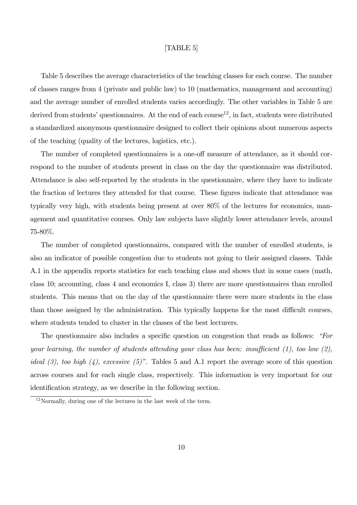#### [TABLE 5]

Table 5 describes the average characteristics of the teaching classes for each course. The number of classes ranges from 4 (private and public law) to 10 (mathematics, management and accounting) and the average number of enrolled students varies accordingly. The other variables in Table 5 are derived from students' questionnaires. At the end of each course<sup>12</sup>, in fact, students were distributed a standardized anonymous questionnaire designed to collect their opinions about numerous aspects of the teaching (quality of the lectures, logistics, etc.).

The number of completed questionnaires is a one-off measure of attendance, as it should correspond to the number of students present in class on the day the questionnaire was distributed. Attendance is also self-reported by the students in the questionnaire, where they have to indicate the fraction of lectures they attended for that course. These figures indicate that attendance was typically very high, with students being present at over 80% of the lectures for economics, management and quantitative courses. Only law subjects have slightly lower attendance levels, around 75-80%.

The number of completed questionnaires, compared with the number of enrolled students, is also an indicator of possible congestion due to students not going to their assigned classes. Table A.1 in the appendix reports statistics for each teaching class and shows that in some cases (math, class 10; accounting, class 4 and economics I, class 3) there are more questionnaires than enrolled students. This means that on the day of the questionnaire there were more students in the class than those assigned by the administration. This typically happens for the most difficult courses, where students tended to cluster in the classes of the best lecturers.

The questionnaire also includes a specific question on congestion that reads as follows: "For your learning, the number of students attending your class has been: insufficient  $(1)$ , too low  $(2)$ , ideal  $(3)$ , too high  $(4)$ , excessive  $(5)$ ". Tables 5 and A.1 report the average score of this question across courses and for each single class, respectively. This information is very important for our identification strategy, as we describe in the following section.

 $12$ Normally, during one of the lectures in the last week of the term.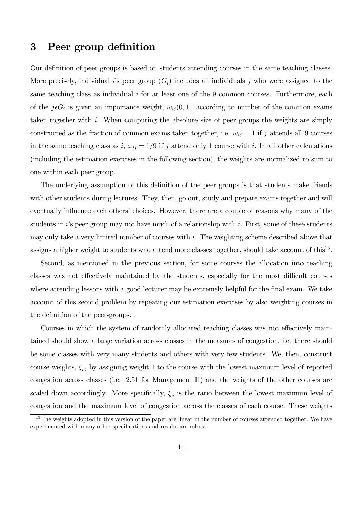# 3 Peer group definition

Our definition of peer groups is based on students attending courses in the same teaching classes. More precisely, individual i's peer group  $(G_i)$  includes all individuals j who were assigned to the same teaching class as individual  $i$  for at least one of the 9 common courses. Furthermore, each of the  $j \in G_i$  is given an importance weight,  $\omega_{ij} (0, 1]$ , according to number of the common exams taken together with i. When computing the absolute size of peer groups the weights are simply constructed as the fraction of common exams taken together, i.e.  $\omega_{ij} = 1$  if j attends all 9 courses in the same teaching class as i,  $\omega_{ij} = 1/9$  if j attend only 1 course with i. In all other calculations (including the estimation exercises in the following section), the weights are normalized to sum to one within each peer group.

The underlying assumption of this definition of the peer groups is that students make friends with other students during lectures. They, then, go out, study and prepare exams together and will eventually influence each others' choices. However, there are a couple of reasons why many of the students in i's peer group may not have much of a relationship with i. First, some of these students may only take a very limited number of courses with i. The weighting scheme described above that assigns a higher weight to students who attend more classes together, should take account of this<sup>13</sup>.

Second, as mentioned in the previous section, for some courses the allocation into teaching classes was not effectively maintained by the students, especially for the most difficult courses where attending lessons with a good lecturer may be extremely helpful for the final exam. We take account of this second problem by repeating our estimation exercises by also weighting courses in the definition of the peer-groups.

Courses in which the system of randomly allocated teaching classes was not effectively maintained should show a large variation across classes in the measures of congestion, i.e. there should be some classes with very many students and others with very few students. We, then, construct course weights,  $\xi_c$ , by assigning weight 1 to the course with the lowest maximum level of reported congestion across classes (i.e. 2.51 for Management II) and the weights of the other courses are scaled down accordingly. More specifically,  $\xi_c$  is the ratio between the lowest maximum level of congestion and the maximum level of congestion across the classes of each course. These weights

 $13$ The weights adopted in this version of the paper are linear in the number of courses attended together. We have experimented with many other specifications and results are robust.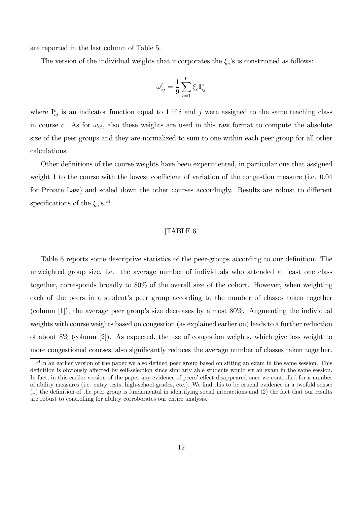are reported in the last column of Table 5.

The version of the individual weights that incorporates the  $\xi_c$ 's is constructed as follows:

$$
\omega_{ij}' = \frac{1}{9} \sum_{c=1}^{9} \xi_c \mathbf{I}_{ij}^c
$$

where  $I_{ij}^c$  is an indicator function equal to 1 if i and j were assigned to the same teaching class in course c. As for  $\omega_{ij}$ , also these weights are used in this raw format to compute the absolute size of the peer groups and they are normalized to sum to one within each peer group for all other calculations.

Other definitions of the course weights have been experimented, in particular one that assigned weight 1 to the course with the lowest coefficient of variation of the congestion measure (i.e. 0.04 for Private Law) and scaled down the other courses accordingly. Results are robust to different specifications of the  $\xi_c$ 's.<sup>14</sup>

#### [TABLE 6]

Table 6 reports some descriptive statistics of the peer-groups according to our definition. The unweighted group size, i.e. the average number of individuals who attended at least one class together, corresponds broadly to 80% of the overall size of the cohort. However, when weighting each of the peers in a student's peer group according to the number of classes taken together (column [1]), the average peer group's size decreases by almost 80%. Augmenting the individual weights with course weights based on congestion (as explained earlier on) leads to a further reduction of about 8% (column [2]). As expected, the use of congestion weights, which give less weight to more congestioned courses, also significantly reduces the average number of classes taken together.

<sup>&</sup>lt;sup>14</sup>In an earlier version of the paper we also defined peer group based on sitting an exam in the same session. This definition is obviously affected by self-selection since similarly able students would sit an exam in the same session. In fact, in this earlier version of the paper any evidence of peers' effect disappeared once we controlled for a number of ability measures (i.e. entry tests, high-school grades, etc.). We find this to be crucial evidence in a twofold sense: (1) the definition of the peer group is fundamental in identifying social interactions and (2) the fact that our results are robust to controlling for ability corroborates our entire analysis.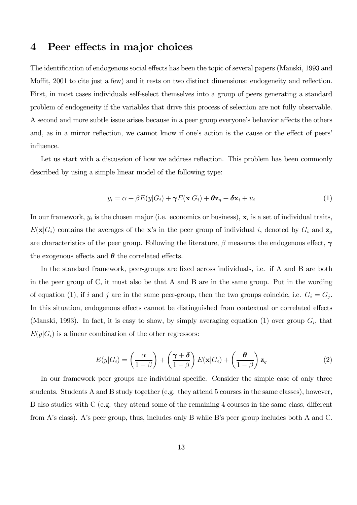# 4 Peer effects in major choices

The identification of endogenous social effects has been the topic of several papers (Manski, 1993 and Moffit, 2001 to cite just a few) and it rests on two distinct dimensions: endogeneity and reflection. First, in most cases individuals self-select themselves into a group of peers generating a standard problem of endogeneity if the variables that drive this process of selection are not fully observable. A second and more subtle issue arises because in a peer group everyone's behavior affects the others and, as in a mirror reflection, we cannot know if one's action is the cause or the effect of peers' influence.

Let us start with a discussion of how we address reflection. This problem has been commonly described by using a simple linear model of the following type:

$$
y_i = \alpha + \beta E(y|G_i) + \gamma E(\mathbf{x}|G_i) + \boldsymbol{\theta}\mathbf{z}_g + \boldsymbol{\delta}\mathbf{x}_i + u_i
$$
\n(1)

In our framework,  $y_i$  is the chosen major (i.e. economics or business),  $\mathbf{x}_i$  is a set of individual traits,  $E(\mathbf{x}|G_i)$  contains the averages of the x's in the peer group of individual i, denoted by  $G_i$  and  $\mathbf{z}_g$ are characteristics of the peer group. Following the literature,  $\beta$  measures the endogenous effect,  $\gamma$ the exogenous effects and  $\theta$  the correlated effects.

In the standard framework, peer-groups are fixed across individuals, i.e. if A and B are both in the peer group of C, it must also be that A and B are in the same group. Put in the wording of equation (1), if i and j are in the same peer-group, then the two groups coincide, i.e.  $G_i = G_j$ . In this situation, endogenous effects cannot be distinguished from contextual or correlated effects (Manski, 1993). In fact, it is easy to show, by simply averaging equation (1) over group  $G_i$ , that  $E(y|G_i)$  is a linear combination of the other regressors:

$$
E(y|G_i) = \left(\frac{\alpha}{1-\beta}\right) + \left(\frac{\gamma+\delta}{1-\beta}\right)E(\mathbf{x}|G_i) + \left(\frac{\theta}{1-\beta}\right)\mathbf{z}_g
$$
\n(2)

In our framework peer groups are individual specific. Consider the simple case of only three students. Students A and B study together (e.g. they attend 5 courses in the same classes), however, B also studies with C (e.g. they attend some of the remaining 4 courses in the same class, different from A's class). A's peer group, thus, includes only B while B's peer group includes both A and C.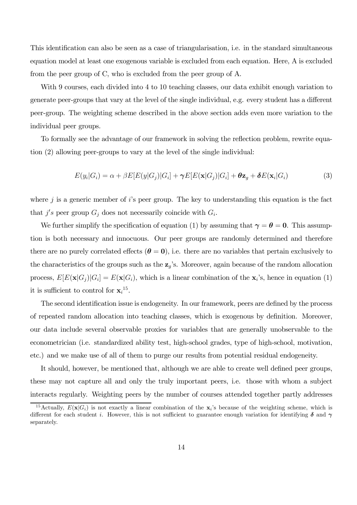This identification can also be seen as a case of triangularisation, i.e. in the standard simultaneous equation model at least one exogenous variable is excluded from each equation. Here, A is excluded from the peer group of C, who is excluded from the peer group of A.

With 9 courses, each divided into 4 to 10 teaching classes, our data exhibit enough variation to generate peer-groups that vary at the level of the single individual, e.g. every student has a different peer-group. The weighting scheme described in the above section adds even more variation to the individual peer groups.

To formally see the advantage of our framework in solving the reflection problem, rewrite equation (2) allowing peer-groups to vary at the level of the single individual:

$$
E(y_i|G_i) = \alpha + \beta E[E(y|G_j)|G_i] + \gamma E[E(\mathbf{x}|G_j)|G_i] + \theta \mathbf{z}_g + \delta E(\mathbf{x}_i|G_i)
$$
(3)

where  $j$  is a generic member of i's peer group. The key to understanding this equation is the fact that  $j's$  peer group  $G_j$  does not necessarily coincide with  $G_i$ .

We further simplify the specification of equation (1) by assuming that  $\gamma = \theta = 0$ . This assumption is both necessary and innocuous. Our peer groups are randomly determined and therefore there are no purely correlated effects  $(\theta = 0)$ , i.e. there are no variables that pertain exclusively to the characteristics of the groups such as the  $z_g$ 's. Moreover, again because of the random allocation process,  $E[E(\mathbf{x}|G_j)|G_i] = E(\mathbf{x}|G_i)$ , which is a linear combination of the  $\mathbf{x}_i$ 's, hence in equation (1) it is sufficient to control for  $\mathbf{x}_i^{15}$ .

The second identification issue is endogeneity. In our framework, peers are defined by the process of repeated random allocation into teaching classes, which is exogenous by definition. Moreover, our data include several observable proxies for variables that are generally unobservable to the econometrician (i.e. standardized ability test, high-school grades, type of high-school, motivation, etc.) and we make use of all of them to purge our results from potential residual endogeneity.

It should, however, be mentioned that, although we are able to create well defined peer groups, these may not capture all and only the truly important peers, i.e. those with whom a subject interacts regularly. Weighting peers by the number of courses attended together partly addresses

<sup>&</sup>lt;sup>15</sup>Actually,  $E(\mathbf{x}|G_i)$  is not exactly a linear combination of the  $\mathbf{x}_i$ 's because of the weighting scheme, which is different for each student i. However, this is not sufficient to guarantee enough variation for identifying  $\delta$  and  $\gamma$ separately.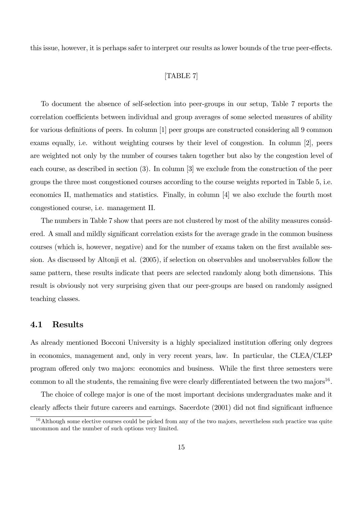this issue, however, it is perhaps safer to interpret our results as lower bounds of the true peer-effects.

#### [TABLE 7]

To document the absence of self-selection into peer-groups in our setup, Table 7 reports the correlation coefficients between individual and group averages of some selected measures of ability for various definitions of peers. In column [1] peer groups are constructed considering all 9 common exams equally, i.e. without weighting courses by their level of congestion. In column [2], peers are weighted not only by the number of courses taken together but also by the congestion level of each course, as described in section (3). In column [3] we exclude from the construction of the peer groups the three most congestioned courses according to the course weights reported in Table 5, i.e. economics II, mathematics and statistics. Finally, in column [4] we also exclude the fourth most congestioned course, i.e. management II.

The numbers in Table 7 show that peers are not clustered by most of the ability measures considered. A small and mildly significant correlation exists for the average grade in the common business courses (which is, however, negative) and for the number of exams taken on the first available session. As discussed by Altonji et al. (2005), if selection on observables and unobservables follow the same pattern, these results indicate that peers are selected randomly along both dimensions. This result is obviously not very surprising given that our peer-groups are based on randomly assigned teaching classes.

### 4.1 Results

As already mentioned Bocconi University is a highly specialized institution offering only degrees in economics, management and, only in very recent years, law. In particular, the CLEA/CLEP program offered only two majors: economics and business. While the first three semesters were common to all the students, the remaining five were clearly differentiated between the two majors<sup>16</sup>.

The choice of college major is one of the most important decisions undergraduates make and it clearly affects their future careers and earnings. Sacerdote (2001) did not find significant influence

 $16$ Although some elective courses could be picked from any of the two majors, nevertheless such practice was quite uncommon and the number of such options very limited.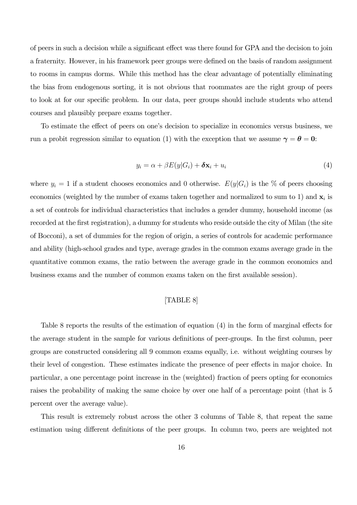of peers in such a decision while a significant effect was there found for GPA and the decision to join a fraternity. However, in his framework peer groups were defined on the basis of random assignment to rooms in campus dorms. While this method has the clear advantage of potentially eliminating the bias from endogenous sorting, it is not obvious that roommates are the right group of peers to look at for our specific problem. In our data, peer groups should include students who attend courses and plausibly prepare exams together.

To estimate the effect of peers on one's decision to specialize in economics versus business, we run a probit regression similar to equation (1) with the exception that we assume  $\gamma = \theta = 0$ :

$$
y_i = \alpha + \beta E(y|G_i) + \delta \mathbf{x}_i + u_i \tag{4}
$$

where  $y_i = 1$  if a student chooses economics and 0 otherwise.  $E(y|G_i)$  is the % of peers choosing economics (weighted by the number of exams taken together and normalized to sum to 1) and  $x_i$  is a set of controls for individual characteristics that includes a gender dummy, household income (as recorded at the first registration), a dummy for students who reside outside the city of Milan (the site of Bocconi), a set of dummies for the region of origin, a series of controls for academic performance and ability (high-school grades and type, average grades in the common exams average grade in the quantitative common exams, the ratio between the average grade in the common economics and business exams and the number of common exams taken on the first available session).

#### [TABLE 8]

Table 8 reports the results of the estimation of equation (4) in the form of marginal effects for the average student in the sample for various definitions of peer-groups. In the first column, peer groups are constructed considering all 9 common exams equally, i.e. without weighting courses by their level of congestion. These estimates indicate the presence of peer effects in major choice. In particular, a one percentage point increase in the (weighted) fraction of peers opting for economics raises the probability of making the same choice by over one half of a percentage point (that is 5 percent over the average value).

This result is extremely robust across the other 3 columns of Table 8, that repeat the same estimation using different definitions of the peer groups. In column two, peers are weighted not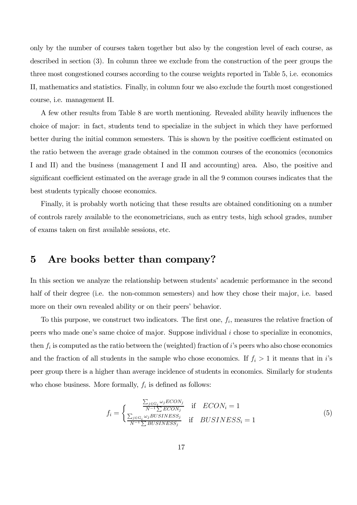only by the number of courses taken together but also by the congestion level of each course, as described in section (3). In column three we exclude from the construction of the peer groups the three most congestioned courses according to the course weights reported in Table 5, i.e. economics II, mathematics and statistics. Finally, in column four we also exclude the fourth most congestioned course, i.e. management II.

A few other results from Table 8 are worth mentioning. Revealed ability heavily influences the choice of major: in fact, students tend to specialize in the subject in which they have performed better during the initial common semesters. This is shown by the positive coefficient estimated on the ratio between the average grade obtained in the common courses of the economics (economics I and II) and the business (management I and II and accounting) area. Also, the positive and significant coefficient estimated on the average grade in all the 9 common courses indicates that the best students typically choose economics.

Finally, it is probably worth noticing that these results are obtained conditioning on a number of controls rarely available to the econometricians, such as entry tests, high school grades, number of exams taken on first available sessions, etc.

# 5 Are books better than company?

In this section we analyze the relationship between students' academic performance in the second half of their degree (i.e. the non-common semesters) and how they chose their major, i.e. based more on their own revealed ability or on their peers' behavior.

To this purpose, we construct two indicators. The first one,  $f_i$ , measures the relative fraction of peers who made one's same choice of major. Suppose individual i chose to specialize in economics, then  $f_i$  is computed as the ratio between the (weighted) fraction of i's peers who also chose economics and the fraction of all students in the sample who chose economics. If  $f_i > 1$  it means that in i's peer group there is a higher than average incidence of students in economics. Similarly for students who chose business. More formally,  $f_i$  is defined as follows:

$$
f_i = \begin{cases} \frac{\sum_{j \in G_i} \omega_j ECON_j}{N^{-1} \sum ECON_j} & \text{if } ECON_i = 1\\ \frac{\sum_{j \in G_i} \omega_j BUSINES_j}{N^{-1} \sum BUSINES_j} & \text{if } BUSINES_i = 1 \end{cases}
$$
(5)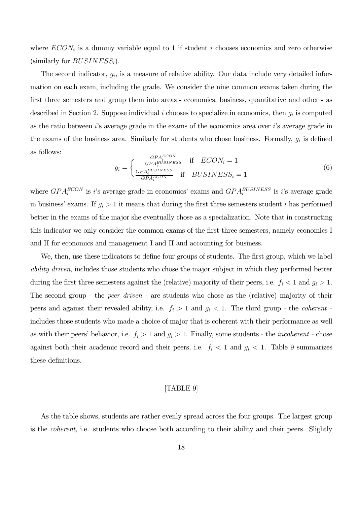where  $ECON_i$  is a dummy variable equal to 1 if student i chooses economics and zero otherwise (similarly for  $BUSINESS_i$ ).

The second indicator,  $g_i$ , is a measure of relative ability. Our data include very detailed information on each exam, including the grade. We consider the nine common exams taken during the first three semesters and group them into areas - economics, business, quantitative and other - as described in Section 2. Suppose individual i chooses to specialize in economics, then  $g_i$  is computed as the ratio between  $i$ 's average grade in the exams of the economics area over  $i$ 's average grade in the exams of the business area. Similarly for students who chose business. Formally,  $g_i$  is defined as follows:

$$
g_i = \begin{cases} \frac{GPA_i^{BCON}}{GPA_i^{BUSINES}} & \text{if } ECON_i = 1\\ \frac{GPA_i^{BUSINES}}{GPA_i^{ECON}} & \text{if } BUSINES = 1 \end{cases}
$$
 (6)

where  $GPA_i^{ECON}$  is *i*'s average grade in economics' exams and  $GPA_i^{BUSINESS}$  is *i*'s average grade in business' exams. If  $g_i > 1$  it means that during the first three semesters student i has performed better in the exams of the major she eventually chose as a specialization. Note that in constructing this indicator we only consider the common exams of the first three semesters, namely economics I and II for economics and management I and II and accounting for business.

We, then, use these indicators to define four groups of students. The first group, which we label ability driven, includes those students who chose the major subject in which they performed better during the first three semesters against the (relative) majority of their peers, i.e.  $f_i < 1$  and  $g_i > 1$ . The second group - the *peer driven* - are students who chose as the (relative) majority of their peers and against their revealed ability, i.e.  $f_i > 1$  and  $g_i < 1$ . The third group - the *coherent* includes those students who made a choice of major that is coherent with their performance as well as with their peers' behavior, i.e.  $f_i > 1$  and  $g_i > 1$ . Finally, some students - the *incoherent* - chose against both their academic record and their peers, i.e.  $f_i < 1$  and  $g_i < 1$ . Table 9 summarizes these definitions.

#### [TABLE 9]

As the table shows, students are rather evenly spread across the four groups. The largest group is the *coherent*, i.e. students who choose both according to their ability and their peers. Slightly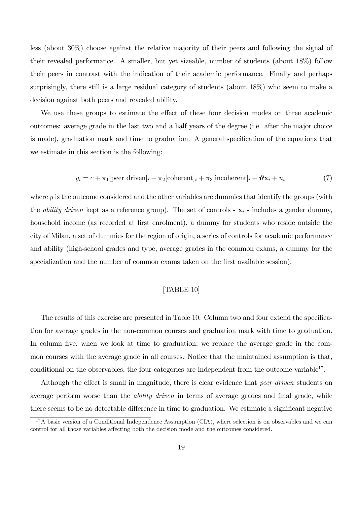less (about 30%) choose against the relative majority of their peers and following the signal of their revealed performance. A smaller, but yet sizeable, number of students (about 18%) follow their peers in contrast with the indication of their academic performance. Finally and perhaps surprisingly, there still is a large residual category of students (about 18%) who seem to make a decision against both peers and revealed ability.

We use these groups to estimate the effect of these four decision modes on three academic outcomes: average grade in the last two and a half years of the degree (i.e. after the major choice is made), graduation mark and time to graduation. A general specification of the equations that we estimate in this section is the following:

$$
y_i = c + \pi_1[\text{peer driven}]_i + \pi_2[\text{coherent}]_i + \pi_3[\text{incoherent}]_i + \mathbf{\vartheta} \mathbf{x}_i + u_i.
$$
 (7)

where  $y$  is the outcome considered and the other variables are dummies that identify the groups (with the *ability driven* kept as a reference group). The set of controls -  $x_i$  - includes a gender dummy, household income (as recorded at first enrolment), a dummy for students who reside outside the city of Milan, a set of dummies for the region of origin, a series of controls for academic performance and ability (high-school grades and type, average grades in the common exams, a dummy for the specialization and the number of common exams taken on the first available session).

#### [TABLE 10]

The results of this exercise are presented in Table 10. Column two and four extend the specification for average grades in the non-common courses and graduation mark with time to graduation. In column five, when we look at time to graduation, we replace the average grade in the common courses with the average grade in all courses. Notice that the maintained assumption is that, conditional on the observables, the four categories are independent from the outcome variable<sup>17</sup>.

Although the effect is small in magnitude, there is clear evidence that peer driven students on average perform worse than the *ability driven* in terms of average grades and final grade, while there seems to be no detectable difference in time to graduation. We estimate a significant negative

 $17A$  basic version of a Conditional Independence Assumption (CIA), where selection is on observables and we can control for all those variables affecting both the decision mode and the outcomes considered.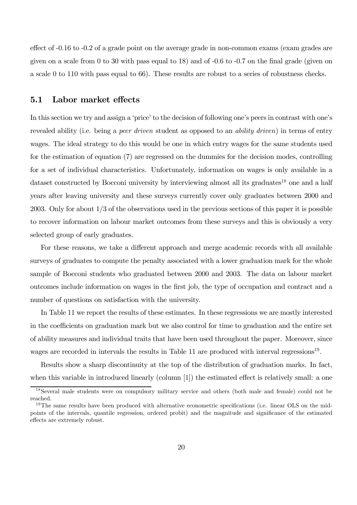effect of -0.16 to -0.2 of a grade point on the average grade in non-common exams (exam grades are given on a scale from 0 to 30 with pass equal to 18) and of -0.6 to -0.7 on the final grade (given on a scale 0 to 110 with pass equal to 66). These results are robust to a series of robustness checks.

#### 5.1 Labor market effects

In this section we try and assign a 'price' to the decision of following one's peers in contrast with one's revealed ability (i.e. being a *peer driven* student as opposed to an *ability driven*) in terms of entry wages. The ideal strategy to do this would be one in which entry wages for the same students used for the estimation of equation (7) are regressed on the dummies for the decision modes, controlling for a set of individual characteristics. Unfortunately, information on wages is only available in a dataset constructed by Bocconi university by interviewing almost all its graduates<sup>18</sup> one and a half years after leaving university and these surveys currently cover only graduates between 2000 and 2003. Only for about 1/3 of the observations used in the previous sections of this paper it is possible to recover information on labour market outcomes from these surveys and this is obviously a very selected group of early graduates.

For these reasons, we take a different approach and merge academic records with all available surveys of graduates to compute the penalty associated with a lower graduation mark for the whole sample of Bocconi students who graduated between 2000 and 2003. The data on labour market outcomes include information on wages in the first job, the type of occupation and contract and a number of questions on satisfaction with the university.

In Table 11 we report the results of these estimates. In these regressions we are mostly interested in the coefficients on graduation mark but we also control for time to graduation and the entire set of ability measures and individual traits that have been used throughout the paper. Moreover, since wages are recorded in intervals the results in Table 11 are produced with interval regressions<sup>19</sup>.

Results show a sharp discontinuity at the top of the distribution of graduation marks. In fact, when this variable in introduced linearly (column [1]) the estimated effect is relatively small: a one

<sup>18</sup>Several male students were on compulsory military service and others (both male and female) could not be reached.

<sup>&</sup>lt;sup>19</sup>The same results have been produced with alternative econometric specifications (i.e. linear OLS on the midpoints of the intervals, quantile regression, ordered probit) and the magnitude and significance of the estimated effects are extremely robust.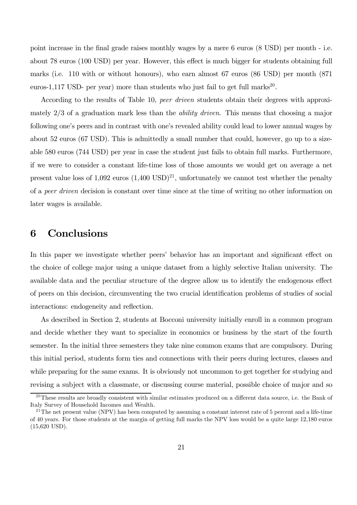point increase in the final grade raises monthly wages by a mere 6 euros (8 USD) per month - i.e. about 78 euros (100 USD) per year. However, this effect is much bigger for students obtaining full marks (i.e. 110 with or without honours), who earn almost 67 euros (86 USD) per month (871 euros-1,117 USD- per year) more than students who just fail to get full marks<sup>20</sup>.

According to the results of Table 10, peer driven students obtain their degrees with approximately 2/3 of a graduation mark less than the ability driven. This means that choosing a major following one's peers and in contrast with one's revealed ability could lead to lower annual wages by about 52 euros (67 USD). This is admittedly a small number that could, however, go up to a sizeable 580 euros (744 USD) per year in case the student just fails to obtain full marks. Furthermore, if we were to consider a constant life-time loss of those amounts we would get on average a net present value loss of  $1,092$  euros  $(1,400 \text{ USD})^{21}$ , unfortunately we cannot test whether the penalty of a peer driven decision is constant over time since at the time of writing no other information on later wages is available.

# 6 Conclusions

In this paper we investigate whether peers' behavior has an important and significant effect on the choice of college major using a unique dataset from a highly selective Italian university. The available data and the peculiar structure of the degree allow us to identify the endogenous effect of peers on this decision, circumventing the two crucial identification problems of studies of social interactions: endogeneity and reflection.

As described in Section 2, students at Bocconi university initially enroll in a common program and decide whether they want to specialize in economics or business by the start of the fourth semester. In the initial three semesters they take nine common exams that are compulsory. During this initial period, students form ties and connections with their peers during lectures, classes and while preparing for the same exams. It is obviously not uncommon to get together for studying and revising a subject with a classmate, or discussing course material, possible choice of major and so

 $^{20}$ These results are broadly consistent with similar estimates produced on a different data source, i.e. the Bank of Italy Survey of Household Incomes and Wealth.

 $^{21}$ The net present value (NPV) has been computed by assuming a constant interest rate of 5 percent and a life-time of 40 years. For those students at the margin of getting full marks the NPV loss would be a quite large 12,180 euros (15,620 USD).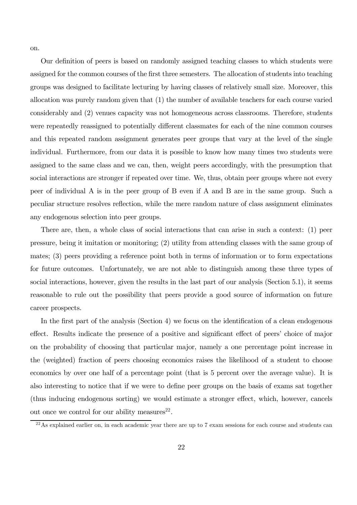on.

Our definition of peers is based on randomly assigned teaching classes to which students were assigned for the common courses of the first three semesters. The allocation of students into teaching groups was designed to facilitate lecturing by having classes of relatively small size. Moreover, this allocation was purely random given that (1) the number of available teachers for each course varied considerably and (2) venues capacity was not homogeneous across classrooms. Therefore, students were repeatedly reassigned to potentially different classmates for each of the nine common courses and this repeated random assignment generates peer groups that vary at the level of the single individual. Furthermore, from our data it is possible to know how many times two students were assigned to the same class and we can, then, weight peers accordingly, with the presumption that social interactions are stronger if repeated over time. We, thus, obtain peer groups where not every peer of individual A is in the peer group of B even if A and B are in the same group. Such a peculiar structure resolves reflection, while the mere random nature of class assignment eliminates any endogenous selection into peer groups.

There are, then, a whole class of social interactions that can arise in such a context: (1) peer pressure, being it imitation or monitoring; (2) utility from attending classes with the same group of mates; (3) peers providing a reference point both in terms of information or to form expectations for future outcomes. Unfortunately, we are not able to distinguish among these three types of social interactions, however, given the results in the last part of our analysis (Section 5.1), it seems reasonable to rule out the possibility that peers provide a good source of information on future career prospects.

In the first part of the analysis (Section 4) we focus on the identification of a clean endogenous effect. Results indicate the presence of a positive and significant effect of peers' choice of major on the probability of choosing that particular major, namely a one percentage point increase in the (weighted) fraction of peers choosing economics raises the likelihood of a student to choose economics by over one half of a percentage point (that is 5 percent over the average value). It is also interesting to notice that if we were to define peer groups on the basis of exams sat together (thus inducing endogenous sorting) we would estimate a stronger effect, which, however, cancels out once we control for our ability measures $^{22}$ .

 $^{22}$ As explained earlier on, in each academic year there are up to 7 exam sessions for each course and students can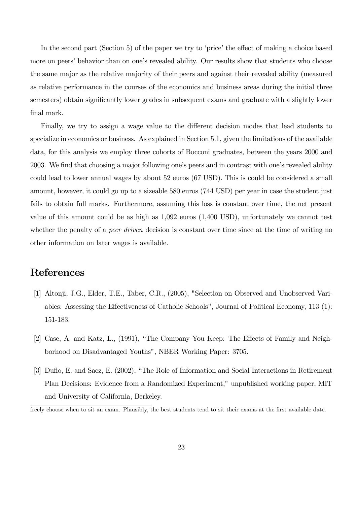In the second part (Section 5) of the paper we try to 'price' the effect of making a choice based more on peers' behavior than on one's revealed ability. Our results show that students who choose the same major as the relative majority of their peers and against their revealed ability (measured as relative performance in the courses of the economics and business areas during the initial three semesters) obtain significantly lower grades in subsequent exams and graduate with a slightly lower final mark.

Finally, we try to assign a wage value to the different decision modes that lead students to specialize in economics or business. As explained in Section 5.1, given the limitations of the available data, for this analysis we employ three cohorts of Bocconi graduates, between the years 2000 and 2003. We find that choosing a major following one's peers and in contrast with one's revealed ability could lead to lower annual wages by about 52 euros (67 USD). This is could be considered a small amount, however, it could go up to a sizeable 580 euros (744 USD) per year in case the student just fails to obtain full marks. Furthermore, assuming this loss is constant over time, the net present value of this amount could be as high as 1,092 euros (1,400 USD), unfortunately we cannot test whether the penalty of a *peer driven* decision is constant over time since at the time of writing no other information on later wages is available.

# References

- [1] Altonji, J.G., Elder, T.E., Taber, C.R., (2005), "Selection on Observed and Unobserved Variables: Assessing the Effectiveness of Catholic Schools", Journal of Political Economy, 113 (1): 151-183.
- [2] Case, A. and Katz, L., (1991), "The Company You Keep: The Effects of Family and Neighborhood on Disadvantaged Youths", NBER Working Paper: 3705.
- [3] Duflo, E. and Saez, E. (2002), "The Role of Information and Social Interactions in Retirement Plan Decisions: Evidence from a Randomized Experiment," unpublished working paper, MIT and University of California, Berkeley.

freely choose when to sit an exam. Plausibly, the best students tend to sit their exams at the first available date.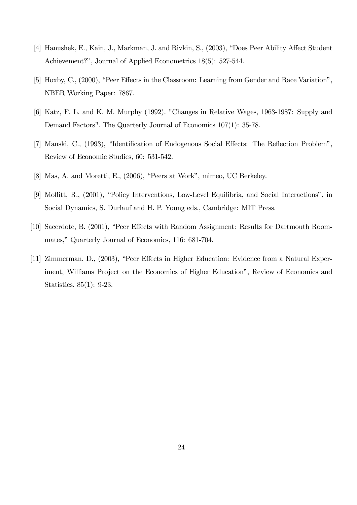- [4] Hanushek, E., Kain, J., Markman, J. and Rivkin, S., (2003), "Does Peer Ability Affect Student Achievement?", Journal of Applied Econometrics 18(5): 527-544.
- [5] Hoxby, C., (2000), "Peer Effects in the Classroom: Learning from Gender and Race Variation", NBER Working Paper: 7867.
- [6] Katz, F. L. and K. M. Murphy (1992). "Changes in Relative Wages, 1963-1987: Supply and Demand Factors". The Quarterly Journal of Economics 107(1): 35-78.
- [7] Manski, C., (1993), "Identification of Endogenous Social Effects: The Reflection Problem", Review of Economic Studies, 60: 531-542.
- [8] Mas, A. and Moretti, E., (2006), "Peers at Work", mimeo, UC Berkeley.
- [9] Moffitt, R., (2001), "Policy Interventions, Low-Level Equilibria, and Social Interactions", in Social Dynamics, S. Durlauf and H. P. Young eds., Cambridge: MIT Press.
- [10] Sacerdote, B. (2001), "Peer Effects with Random Assignment: Results for Dartmouth Roommates," Quarterly Journal of Economics, 116: 681-704.
- [11] Zimmerman, D., (2003), "Peer Effects in Higher Education: Evidence from a Natural Experiment, Williams Project on the Economics of Higher Education", Review of Economics and Statistics, 85(1): 9-23.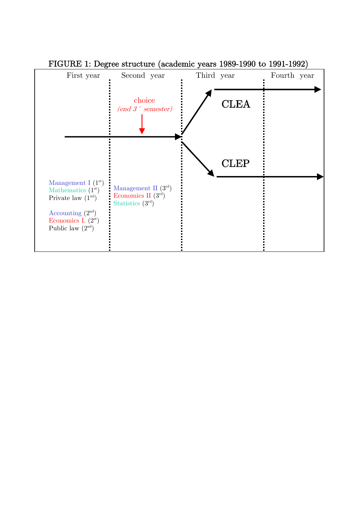

FIGURE 1: Degree structure (academic years 1989-1990 to 1991-1992)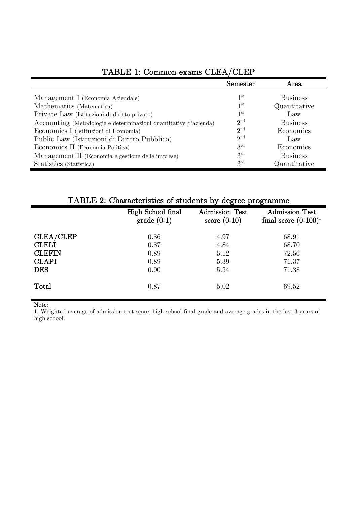|                                                                  | Semester        | Area            |
|------------------------------------------------------------------|-----------------|-----------------|
| Management I (Economia Aziendale)                                | $1^{\rm st}$    | <b>Business</b> |
| Mathematics (Matematica)                                         | 1 <sup>st</sup> | Quantitative    |
| Private Law (Istituzioni di diritto privato)                     | $1^{\rm st}$    | Law             |
| Accounting (Metodologie e determinazioni quantitative d'azienda) | 2 <sup>nd</sup> | <b>Business</b> |
| Economics I (Istituzioni di Economia)                            | 2 <sup>nd</sup> | Economics       |
| Public Law (Istituzioni di Diritto Pubblico)                     | $2^{\text{nd}}$ | Law             |
| Economics II (Economia Politica)                                 | $3^{\rm rd}$    | Economics       |
| Management II (Economia e gestione delle imprese)                | $3^{\rm rd}$    | <b>Business</b> |
| Statistics (Statistica)                                          | $3^{\rm rd}$    | Quantitative    |

# TABLE 1: Common exams CLEA/CLEP

TABLE 2: Characteristics of students by degree programme

|               |                                   | ~, --o--- r--o-                         |                                                  |
|---------------|-----------------------------------|-----------------------------------------|--------------------------------------------------|
|               | High School final<br>$grade(0-1)$ | <b>Admission Test</b><br>score $(0-10)$ | <b>Admission Test</b><br>final score $(0-100)^1$ |
| CLEA/CLEP     | 0.86                              | 4.97                                    | 68.91                                            |
| <b>CLELI</b>  | 0.87                              | 4.84                                    | 68.70                                            |
| <b>CLEFIN</b> | 0.89                              | 5.12                                    | 72.56                                            |
| <b>CLAPI</b>  | 0.89                              | 5.39                                    | 71.37                                            |
| <b>DES</b>    | 0.90                              | 5.54                                    | 71.38                                            |
| Total         | 0.87                              | 5.02                                    | 69.52                                            |

#### Note:

1. Weighted average of admission test score, high school final grade and average grades in the last 3 years of high school.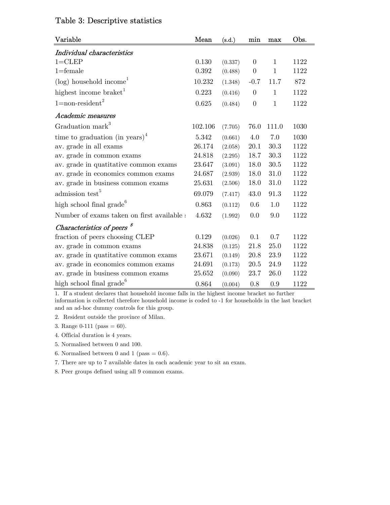|  | Table 3: Descriptive statistics |  |
|--|---------------------------------|--|
|--|---------------------------------|--|

| Variable                                   | Mean    | (s.d.)  | min              | max            | Obs. |
|--------------------------------------------|---------|---------|------------------|----------------|------|
| Individual characteristics                 |         |         |                  |                |      |
| $1 = CLEP$                                 | 0.130   | (0.337) | $\Omega$         | 1              | 1122 |
| $1 =$ female                               | 0.392   | (0.488) | $\boldsymbol{0}$ | $\overline{1}$ | 1122 |
| $(\log)$ household income <sup>1</sup>     | 10.232  | (1.348) | $-0.7$           | 11.7           | 872  |
| highest income braket <sup>1</sup>         | 0.223   | (0.416) | $\overline{0}$   | $\mathbf{1}$   | 1122 |
| $1 = \text{non-resident}^2$                | 0.625   | (0.484) | $\overline{0}$   | $\mathbf{1}$   | 1122 |
| Academic measures                          |         |         |                  |                |      |
| Graduation mark <sup>3</sup>               | 102.106 | (7.705) | 76.0             | 111.0          | 1030 |
| time to graduation (in years) <sup>4</sup> | 5.342   | (0.661) | 4.0              | 7.0            | 1030 |
| av. grade in all exams                     | 26.174  | (2.058) | 20.1             | 30.3           | 1122 |
| av. grade in common exams                  | 24.818  | (2.295) | 18.7             | 30.3           | 1122 |
| av. grade in quatitative common exams      | 23.647  | (3.091) | 18.0             | 30.5           | 1122 |
| av. grade in economics common exams        | 24.687  | (2.939) | 18.0             | 31.0           | 1122 |
| av. grade in business common exams         | 25.631  | (2.506) | 18.0             | 31.0           | 1122 |
| admission test <sup>5</sup>                | 69.079  | (7.417) | 43.0             | 91.3           | 1122 |
| high school final grade <sup>6</sup>       | 0.863   | (0.112) | 0.6              | 1.0            | 1122 |
| Number of exams taken on first available a | 4.632   | (1.992) | 0.0              | 9.0            | 1122 |
| Characteristics of peers <sup>8</sup>      |         |         |                  |                |      |
| fraction of peers choosing CLEP            | 0.129   | (0.026) | 0.1              | 0.7            | 1122 |
| av. grade in common exams                  | 24.838  | (0.125) | 21.8             | 25.0           | 1122 |
| av. grade in quatitative common exams      | 23.671  | (0.149) | 20.8             | 23.9           | 1122 |
| av. grade in economics common exams        | 24.691  | (0.173) | 20.5             | 24.9           | 1122 |
| av. grade in business common exams         | 25.652  | (0.090) | 23.7             | 26.0           | 1122 |
| high school final grade <sup>6</sup>       | 0.864   | (0.004) | 0.8              | 0.9            | 1122 |

1. If a student declares that household income falls in the highest income bracket no further

information is collected therefore household income is coded to -1 for households in the last bracket and an ad-hoc dummy controls for this group.

2. Resident outside the province of Milan.

3. Range  $0-111$  (pass = 60).

- 4. Official duration is 4 years.
- 5. Normalised between 0 and 100.
- 6. Normalised between 0 and 1 (pass  $= 0.6$ ).
- 7. There are up to 7 available dates in each academic year to sit an exam.
- 8. Peer groups defined using all 9 common exams.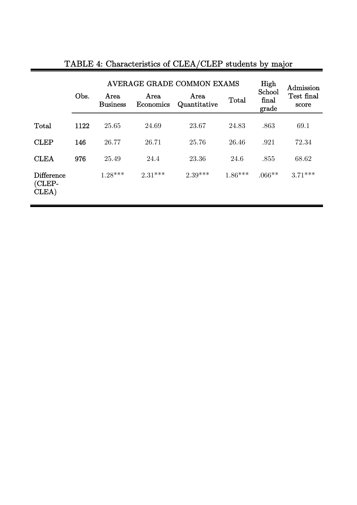|                                      |      |                         | AVERAGE GRADE COMMON EXAMS | High<br>School       | Admission |                |                     |
|--------------------------------------|------|-------------------------|----------------------------|----------------------|-----------|----------------|---------------------|
|                                      | Obs. | Area<br><b>Business</b> | Area<br>Economics          | Area<br>Quantitative | Total     | final<br>grade | Test final<br>score |
| Total                                | 1122 | 25.65                   | 24.69                      | 23.67                | 24.83     | .863           | 69.1                |
| <b>CLEP</b>                          | 146  | 26.77                   | 26.71                      | 25.76                | 26.46     | .921           | 72.34               |
| <b>CLEA</b>                          | 976  | 25.49                   | 24.4                       | 23.36                | 24.6      | .855           | 68.62               |
| <b>Difference</b><br>(CLEP-<br>CLEA) |      | $1.28***$               | $2.31***$                  | $2.39***$            | $1.86***$ | $.066**$       | $3.71***$           |

# TABLE 4: Characteristics of CLEA/CLEP students by major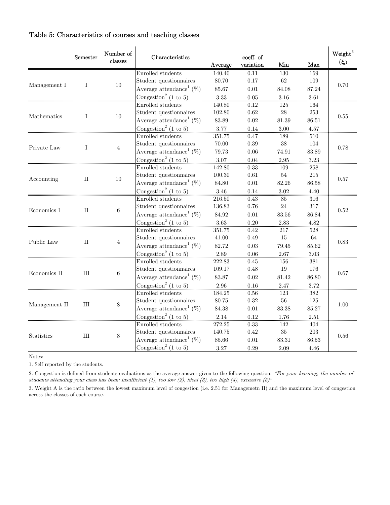### Table 5: Characteristics of courses and teaching classes

|                           | Semester     | Number of<br>$classes$ | Characteristics                                | Average                   | coeff. of<br>variation | Min        | Max       | Weight <sup>3</sup><br>(දි.) |      |
|---------------------------|--------------|------------------------|------------------------------------------------|---------------------------|------------------------|------------|-----------|------------------------------|------|
|                           |              |                        | Enrolled students                              | 140.40                    | 0.11                   | 130        | 169       |                              |      |
|                           |              |                        | Student questionnaires                         | 80.70                     | 0.17                   | $62\,$     | 109       |                              |      |
| Management I              | Ι            | 10                     | Average attendance <sup>1</sup> (%)            | 85.67                     | 0.01                   | 84.08      | 87.24     | 0.70                         |      |
|                           |              |                        | Congestion <sup>2</sup> (1 to 5)               | $3.33\,$                  | $0.05\,$               | $3.16\,$   | $3.61\,$  |                              |      |
|                           |              |                        | Enrolled students                              | 140.80                    | 0.12                   | 125        | 164       |                              |      |
|                           |              |                        | Student questionnaires                         | 102.80                    | 0.62                   | ${\bf 28}$ | 253       |                              |      |
| Mathematics               | T            | 10                     | Average attendance <sup>1</sup> (%)            | $83.89\,$                 | $0.02\,$               | $81.39\,$  | $86.51\,$ | $0.55\,$                     |      |
|                           |              |                        | Congestion <sup>2</sup> (1 to 5)               | $3.77\,$                  | $0.14\,$               | $3.00\,$   | $4.57\,$  |                              |      |
|                           |              |                        | Enrolled students                              | 351.75                    | 0.47                   | 189        | 510       |                              |      |
|                           |              |                        | Student questionnaires                         | 70.00                     | $0.39\,$               | $38\,$     | 104       |                              |      |
| Private Law               | $\mathbf{I}$ | $\overline{4}$         | Average attendance <sup>1</sup> (%)            | 79.73                     | $0.06\,$               | 74.91      | 83.89     | 0.78                         |      |
|                           |              |                        | Congestion <sup>2</sup> (1 to 5)               | $3.07\,$                  | 0.04                   | 2.95       | 3.23      |                              |      |
|                           |              |                        | Enrolled students                              | 142.80                    | 0.33                   | 109        | 258       |                              |      |
| $_{\rm II}$<br>Accounting |              | Student questionnaires | 100.30                                         | $0.61\,$                  | $54\,$                 | $215\,$    |           |                              |      |
|                           |              | 10                     | Average attendance <sup>1</sup> (%)            | 84.80                     | $0.01\,$               | 82.26      | 86.58     | 0.57                         |      |
|                           |              |                        | Congestion <sup>2</sup> (1 to 5)               | 3.46                      | 0.14                   | $3.02\,$   | 4.40      |                              |      |
|                           |              |                        | Enrolled students                              | 216.50                    | 0.43                   | 85         | 316       |                              |      |
|                           |              |                        | Student questionnaires                         | 136.83                    | 0.76                   | 24         | 317       |                              |      |
| Economics I               | П            |                        | 6                                              | Average attendance $(\%)$ | 84.92                  | $0.01\,$   | 83.56     | 86.84                        | 0.52 |
|                           |              |                        | $\frac{1}{2}$ Congestion <sup>2</sup> (1 to 5) | 3.63                      | 0.20                   | $2.83\,$   | 4.82      |                              |      |
|                           |              |                        | Enrolled students                              | 351.75                    | 0.42                   | 217        | 528       |                              |      |
|                           |              |                        | Student questionnaires                         | 41.00                     | $0.49\,$               | 15         | $64\,$    |                              |      |
| Public Law                | $_{\rm II}$  | $\overline{4}$         | Average attendance <sup>1</sup> (%)            | 82.72                     | $\rm 0.03$             | $79.45\,$  | $85.62\,$ | 0.83                         |      |
|                           |              |                        | Congestion <sup>2</sup> (1 to 5)               | $2.89\,$                  | 0.06                   | 2.67       | $3.03\,$  |                              |      |
|                           |              |                        | Enrolled students                              | 222.83                    | 0.45                   | 156        | $381\,$   |                              |      |
| Economics II              | $\rm III$    |                        | Student questionnaires                         | 109.17                    | 0.48                   | 19         | 176       | 0.67                         |      |
|                           |              | 6                      | Average attendance <sup>1</sup> (%)            | 83.87                     | 0.02                   | $81.42\,$  | 86.80     |                              |      |
|                           |              |                        | Congestion <sup>2</sup> (1 to 5)               | $2.96\,$                  | $0.16\,$               | $2.47\,$   | 3.72      |                              |      |
|                           |              |                        | Enrolled students                              | 184.25                    | $0.56\,$               | 123        | $382\,$   |                              |      |
|                           | Ш            | 8                      | Student questionnaires                         | 80.75                     | 0.32                   | 56         | 125       | 1.00                         |      |
| Management II             |              |                        | Average attendance <sup>1</sup> (%)            | 84.38                     | $0.01\,$               | 83.38      | 85.27     |                              |      |
|                           |              |                        | Congestion <sup>2</sup> (1 to 5)               | 2.14                      | 0.12                   | 1.76       | 2.51      |                              |      |
|                           |              |                        | Enrolled students                              | 272.25                    | 0.33                   | 142        | 404       |                              |      |
| <b>Statistics</b>         | Ш            | 8                      | Student questionnaires                         | 140.75                    | 0.42                   | $35\,$     | $203\,$   | 0.56                         |      |
|                           |              |                        | Average attendance <sup>1</sup> (%)            | 85.66                     | $0.01\,$               | 83.31      | 86.53     |                              |      |
|                           |              |                        | Congestion <sup>2</sup> (1 to 5)               | 3.27                      | 0.29                   | 2.09       | 4.46      |                              |      |

Notes:

1. Self reported by the students.

2. Congestion is defined from students evaluations as the average answer given to the following question: "For your learning, the number of students attending your class has been: insufficient  $(1)$ , too low  $(2)$ , ideal  $(3)$ , too high  $(4)$ , excessive  $(5)$ ".

3. Weight A is the ratio between the lowest maximum level of congestion (i.e. 2.51 for Managemetn II) and the maximum level of congestion across the classes of each course.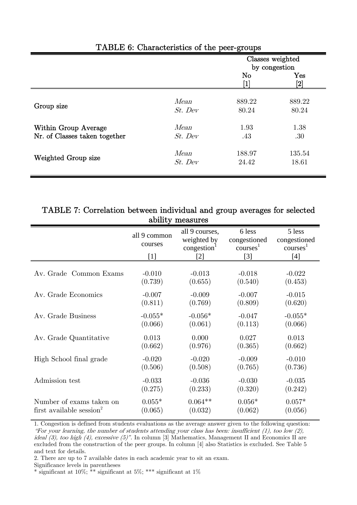|                               |           | Classes weighted<br>by congestion |                                           |
|-------------------------------|-----------|-----------------------------------|-------------------------------------------|
|                               |           | No                                | $\rm Yes$<br>$\left\lceil 2 \right\rceil$ |
| Group size                    | Mean      | 889.22                            | 889.22                                    |
|                               | $St.$ Dev | 80.24                             | 80.24                                     |
| Within Group Average          | Mean      | 1.93                              | 1.38                                      |
| Nr. of Classes taken together | $St.$ Dev | .43                               | .30                                       |
| Weighted Group size           | Mean      | 188.97                            | 135.54                                    |
|                               | $St.$ Dev | 24.42                             | 18.61                                     |

### TABLE 6: Characteristics of the peer-groups

## TABLE 7: Correlation between individual and group averages for selected ability measures

|                                      | J                                |                                                                                                                                                                                                                                                                       |                                                        |                                                        |
|--------------------------------------|----------------------------------|-----------------------------------------------------------------------------------------------------------------------------------------------------------------------------------------------------------------------------------------------------------------------|--------------------------------------------------------|--------------------------------------------------------|
|                                      | all 9 common<br>courses<br>$[1]$ | all 9 courses,<br>weighted by<br>congestion<br>$[2] % \includegraphics[width=0.9\columnwidth]{figures/fig_10.pdf} \caption{The figure shows the number of times on the right panel. The left panel shows the number of times on the right panel.} \label{fig:fig_11}$ | 6 less<br>congestioned<br>course <sup>1</sup><br>$[3]$ | 5 less<br>congestioned<br>course <sup>1</sup><br>$[4]$ |
| Av. Grade Common Exams               | $-0.010$                         | $-0.013$                                                                                                                                                                                                                                                              | $-0.018$                                               | $-0.022$                                               |
|                                      | (0.739)                          | (0.655)                                                                                                                                                                                                                                                               | (0.540)                                                | (0.453)                                                |
| Av. Grade Economics                  | $-0.007$                         | $-0.009$                                                                                                                                                                                                                                                              | $-0.007$                                               | $-0.015$                                               |
|                                      | (0.811)                          | (0.769)                                                                                                                                                                                                                                                               | (0.809)                                                | (0.620)                                                |
| Av. Grade Business                   | $-0.055*$                        | $-0.056*$                                                                                                                                                                                                                                                             | $-0.047$                                               | $-0.055*$                                              |
|                                      | (0.066)                          | (0.061)                                                                                                                                                                                                                                                               | (0.113)                                                | (0.066)                                                |
| Av. Grade Quantitative               | 0.013                            | 0.000                                                                                                                                                                                                                                                                 | 0.027                                                  | 0.013                                                  |
|                                      | (0.662)                          | (0.976)                                                                                                                                                                                                                                                               | (0.365)                                                | (0.662)                                                |
| High School final grade              | $-0.020$                         | $-0.020$                                                                                                                                                                                                                                                              | $-0.009$                                               | $-0.010$                                               |
|                                      | (0.506)                          | (0.508)                                                                                                                                                                                                                                                               | (0.765)                                                | (0.736)                                                |
| Admission test                       | $-0.033$                         | $-0.036$                                                                                                                                                                                                                                                              | $-0.030$                                               | $-0.035$                                               |
|                                      | (0.275)                          | (0.233)                                                                                                                                                                                                                                                               | (0.320)                                                | (0.242)                                                |
| Number of exams taken on             | $0.055*$                         | $0.064**$                                                                                                                                                                                                                                                             | $0.056*$                                               | $0.057*$                                               |
| first available session <sup>2</sup> | (0.065)                          | (0.032)                                                                                                                                                                                                                                                               | (0.062)                                                | (0.056)                                                |

1. Congestion is defined from students evaluations as the average answer given to the following question: "For your learning, the number of students attending your class has been: insufficient  $(1)$ , too low  $(2)$ , ideal (3), too high (4), excessive (5)". In column [3] Mathematics, Management II and Economics II are excluded from the construction of the peer groups. In column [4] also Statistics is excluded. See Table 5 and text for details.

2. There are up to 7 available dates in each academic year to sit an exam.

Significance levels in parentheses

\* significant at 10%; \*\* significant at 5%; \*\*\* significant at 1%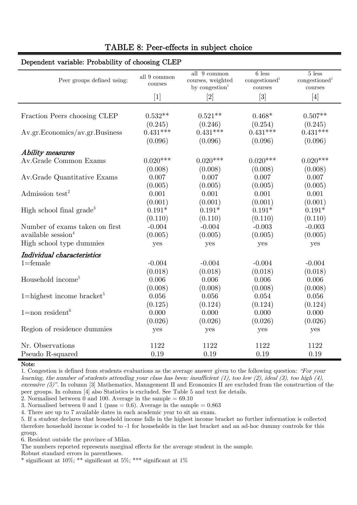| all $9$ common $\,$<br>courses | courses, weighted       | $\rm{congestioned}^1$<br>courses                                                                                                                                                 | $5$ less<br>congestioned <sup>1</sup><br>courses  |
|--------------------------------|-------------------------|----------------------------------------------------------------------------------------------------------------------------------------------------------------------------------|---------------------------------------------------|
| $[1]$                          | $[2]$                   | $[3] % \includegraphics[width=0.9\columnwidth]{figures/fig_1a} \caption{Schematic diagram of the top of the top of the top of the top of the top of the right.} \label{fig:1} %$ | $[4]$                                             |
|                                |                         |                                                                                                                                                                                  |                                                   |
| $0.532**$                      | $0.521**$               | $0.468*$                                                                                                                                                                         | $0.507**$                                         |
| (0.245)                        | (0.246)                 | (0.254)                                                                                                                                                                          | (0.245)                                           |
| $0.431***$                     |                         |                                                                                                                                                                                  | $0.431***$                                        |
| (0.096)                        | (0.096)                 | (0.096)                                                                                                                                                                          | (0.096)                                           |
|                                |                         |                                                                                                                                                                                  |                                                   |
| $0.020***$                     | $0.020***$              | $0.020***$                                                                                                                                                                       | $0.020***$                                        |
| (0.008)                        | (0.008)                 | (0.008)                                                                                                                                                                          | (0.008)                                           |
| 0.007                          | 0.007                   | 0.007                                                                                                                                                                            | 0.007                                             |
| (0.005)                        | (0.005)                 | (0.005)                                                                                                                                                                          | (0.005)                                           |
| 0.001                          | 0.001                   | 0.001                                                                                                                                                                            | 0.001                                             |
| (0.001)                        | (0.001)                 | (0.001)                                                                                                                                                                          | (0.001)                                           |
| $0.191*$                       | $0.191*$                | $0.191*$                                                                                                                                                                         | $0.191*$                                          |
| (0.110)                        | (0.110)                 | (0.110)                                                                                                                                                                          | (0.110)                                           |
| $-0.004$                       | $-0.004$                | $-0.003$                                                                                                                                                                         | $-0.003$                                          |
| (0.005)                        | (0.005)                 | (0.005)                                                                                                                                                                          | (0.005)                                           |
| yes                            | yes                     | yes                                                                                                                                                                              | yes                                               |
|                                |                         |                                                                                                                                                                                  |                                                   |
| $-0.004$                       | $-0.004$                | $-0.004$                                                                                                                                                                         | $-0.004$                                          |
| (0.018)                        | (0.018)                 | (0.018)                                                                                                                                                                          | (0.018)                                           |
| 0.006                          | 0.006                   | 0.006                                                                                                                                                                            | 0.006                                             |
| (0.008)                        | (0.008)                 | (0.008)                                                                                                                                                                          | (0.008)                                           |
| 0.056                          | 0.056                   | 0.054                                                                                                                                                                            | 0.056                                             |
| (0.125)                        | (0.124)                 | (0.124)                                                                                                                                                                          | (0.124)                                           |
| 0.000                          | 0.000                   | 0.000                                                                                                                                                                            | 0.000                                             |
|                                |                         |                                                                                                                                                                                  | (0.026)                                           |
| yes                            | yes                     | yes                                                                                                                                                                              | yes                                               |
|                                |                         |                                                                                                                                                                                  | 1122                                              |
|                                |                         |                                                                                                                                                                                  | 0.19                                              |
|                                | (0.026)<br>1122<br>0.19 | all $9$ common<br>by congestion <sup>1</sup><br>$0.431***$<br>(0.026)<br>1122<br>0.19                                                                                            | $6$ less<br>$0.431***$<br>(0.026)<br>1122<br>0.19 |

# TABLE 8: Peer-effects in subject choice

#### Dependent variable: Probability of choosing CLEP

Note:

1. Congestion is defined from students evaluations as the average answer given to the following question: "For your learning, the number of students attending your class has been: insufficient (1), too low (2), ideal (3), too high (4), excessive (5)". In column [3] Mathematics, Management II and Economics II are excluded from the construction of the peer groups. In column [4] also Statistics is excluded. See Table 5 and text for details.

2. Normalised between 0 and 100. Average in the sample  $= 69.10$ 

3. Normalised between 0 and 1 (pass = 0.6). Average in the sample =  $0.863$ 

4. There are up to 7 available dates in each academic year to sit an exam.

5. If a student declares that household income falls in the highest income bracket no further information is collected therefore household income is coded to -1 for households in the last bracket and an ad-hoc dummy controls for this group.

6. Resident outside the province of Milan.

The numbers reported represents marginal effects for the average student in the sample.

Robust standard errors in parentheses.

\* significant at 10%; \*\* significant at 5%; \*\*\* significant at 1%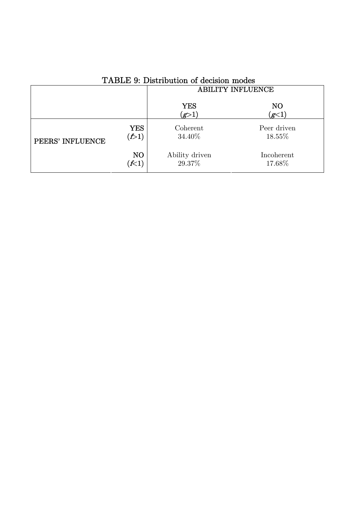|                  |                  | <b>ABILITY INFLUENCE</b> |                         |  |
|------------------|------------------|--------------------------|-------------------------|--|
|                  |                  | <b>YES</b><br>(g>1)      | N <sub>O</sub><br>(g<1) |  |
| PEERS' INFLUENCE | <b>YES</b>       | Coherent                 | Peer driven             |  |
|                  | $(\mathcal{F}1)$ | 34.40%                   | 18.55%                  |  |
|                  | NO               | Ability driven           | Incoherent              |  |
|                  | $\lll$           | 29.37%                   | 17.68%                  |  |

# TABLE 9: Distribution of decision modes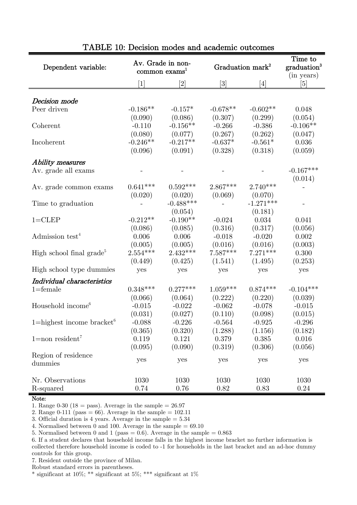| Dependent variable:                   |            | Av. Grade in non-<br>common exams <sup>1</sup> |                                                                                                                                                   | Graduation mark <sup>2</sup> | Time to<br>graduation <sup>3</sup><br>(in years) |
|---------------------------------------|------------|------------------------------------------------|---------------------------------------------------------------------------------------------------------------------------------------------------|------------------------------|--------------------------------------------------|
|                                       | [1]        | [2]                                            | $[3] % \includegraphics[width=1\textwidth]{images/Traj_4.pdf} \caption{Schematic diagram of the estimators in the image.} \label{fig:Traj_4.pdf}$ | [4]                          | [5]                                              |
|                                       |            |                                                |                                                                                                                                                   |                              |                                                  |
| Decision mode                         |            |                                                |                                                                                                                                                   |                              |                                                  |
| Peer driven                           | $-0.186**$ | $-0.157*$                                      | $-0.678**$                                                                                                                                        | $-0.602**$                   | 0.048                                            |
|                                       | (0.090)    | (0.086)                                        | (0.307)                                                                                                                                           | (0.299)                      | (0.054)                                          |
| Coherent                              | $-0.110$   | $-0.156**$                                     | $-0.266$                                                                                                                                          | $-0.386$                     | $-0.106**$                                       |
|                                       | (0.080)    | (0.077)                                        | (0.267)                                                                                                                                           | (0.262)                      | (0.047)                                          |
| Incoherent                            | $-0.246**$ | $-0.217**$                                     | $-0.637*$                                                                                                                                         | $-0.561*$                    | 0.036                                            |
|                                       | (0.096)    | (0.091)                                        | (0.328)                                                                                                                                           | (0.318)                      | (0.059)                                          |
| Ability measures                      |            |                                                |                                                                                                                                                   |                              |                                                  |
| Av. grade all exams                   |            |                                                |                                                                                                                                                   |                              | $-0.167***$                                      |
|                                       |            |                                                |                                                                                                                                                   |                              | (0.014)                                          |
| Av. grade common exams                | $0.641***$ | $0.592***$                                     | $2.867***$                                                                                                                                        | $2.740***$                   |                                                  |
|                                       | (0.020)    | (0.020)                                        | (0.069)                                                                                                                                           | (0.070)                      |                                                  |
| Time to graduation                    |            | $-0.488***$                                    |                                                                                                                                                   | $-1.271***$                  |                                                  |
|                                       |            | (0.054)                                        |                                                                                                                                                   | (0.181)                      |                                                  |
| $1 = CLEP$                            | $-0.212**$ | $-0.190**$                                     | $-0.024$                                                                                                                                          | 0.034                        | 0.041                                            |
|                                       | (0.086)    | (0.085)                                        | (0.316)                                                                                                                                           | (0.317)                      | (0.056)                                          |
| Admission test <sup>4</sup>           | 0.006      | 0.006                                          | $-0.018$                                                                                                                                          | $-0.020$                     | 0.002                                            |
|                                       | (0.005)    | (0.005)                                        | (0.016)                                                                                                                                           | (0.016)                      | (0.003)                                          |
| High school final grade <sup>5</sup>  | $2.554***$ | $2.432***$                                     | $7.587***$                                                                                                                                        | $7.271***$                   | 0.300                                            |
|                                       | (0.449)    | (0.425)                                        | (1.541)                                                                                                                                           | (1.495)                      | (0.253)                                          |
| High school type dummies              | yes        | yes                                            | yes                                                                                                                                               | yes                          | yes                                              |
| Individual characteristics            |            |                                                |                                                                                                                                                   |                              |                                                  |
| $1 =$ female                          | $0.348***$ | $0.277***$                                     | $1.059***$                                                                                                                                        | $0.874***$                   | $-0.104***$                                      |
|                                       | (0.066)    | (0.064)                                        | (0.222)                                                                                                                                           | (0.220)                      | (0.039)                                          |
| Household income <sup>6</sup>         | $-0.015$   | $-0.022$                                       | $-0.062$                                                                                                                                          | $-0.078$                     | $-0.015$                                         |
|                                       | (0.031)    | (0.027)                                        | (0.110)                                                                                                                                           | (0.098)                      | (0.015)                                          |
| 1=highest income bracket <sup>6</sup> | $-0.088$   | $-0.226$                                       | $-0.564$                                                                                                                                          | $-0.925$                     | $-0.296$                                         |
|                                       | (0.365)    | (0.320)                                        | (1.288)                                                                                                                                           | (1.156)                      | (0.182)                                          |
| $1 = non resident7$                   | 0.119      | 0.121                                          | 0.379                                                                                                                                             | 0.385                        | 0.016                                            |
|                                       | (0.095)    | (0.090)                                        | (0.319)                                                                                                                                           | (0.306)                      | (0.056)                                          |
| Region of residence                   |            |                                                |                                                                                                                                                   |                              |                                                  |
| dummies                               | yes        | yes                                            | yes                                                                                                                                               | yes                          | yes                                              |
|                                       |            |                                                |                                                                                                                                                   |                              |                                                  |
| Nr. Observations                      | 1030       | 1030                                           | 1030                                                                                                                                              | 1030                         | 1030                                             |
| R-squared                             | 0.74       | 0.76                                           | 0.82                                                                                                                                              | 0.83                         | 0.24                                             |

### TABLE 10: Decision modes and academic outcomes

### Note:

1. Range 0-30 (18 = pass). Average in the sample =  $26.97$ 

2. Range 0-111 (pass = 66). Average in the sample =  $102.11$ 

3. Official duration is 4 years. Average in the sample = 5.34

4. Normalised between 0 and 100. Average in the sample  $= 69.10$ 

5. Normalised between 0 and 1 (pass = 0.6). Average in the sample =  $0.863$ 

6. If a student declares that household income falls in the highest income bracket no further information is collected therefore household income is coded to -1 for households in the last bracket and an ad-hoc dummy controls for this group.

7. Resident outside the province of Milan.

Robust standard errors in parentheses.

\* significant at 10%; \*\* significant at 5%; \*\*\* significant at 1%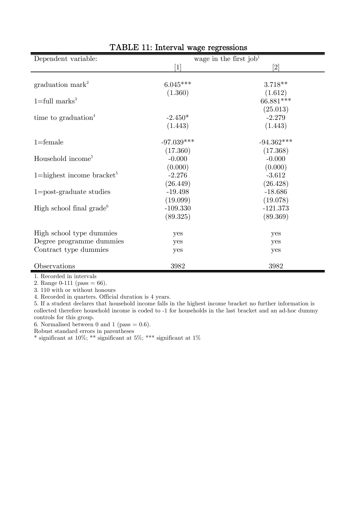| Dependent variable:                               | o<br>o       | wage in the first job <sup>1</sup> |
|---------------------------------------------------|--------------|------------------------------------|
|                                                   | [1           | $\left[ 2\right]$                  |
|                                                   |              |                                    |
| graduation mark <sup>2</sup>                      | $6.045***$   | $3.718**$                          |
|                                                   | (1.360)      | (1.612)                            |
| $1 = full marks3$                                 |              | 66.881***                          |
|                                                   |              | (25.013)                           |
| time to graduation <sup>4</sup>                   | $-2.450*$    | $-2.279$                           |
|                                                   | (1.443)      | (1.443)                            |
| $1 =$ female                                      | $-97.039***$ | $-94.362^{***}\,$                  |
|                                                   | (17.360)     | (17.368)                           |
| Household income <sup>5</sup>                     | $-0.000$     | $-0.000$                           |
|                                                   | (0.000)      | (0.000)                            |
| $1 =$ highest income bracket <sup>5</sup>         | $-2.276$     | $-3.612$                           |
|                                                   | (26.449)     | (26.428)                           |
| $1 = post-graduate studies$                       | $-19.498$    | $-18.686$                          |
|                                                   | (19.099)     | (19.078)                           |
| High school final grade <sup><math>6</math></sup> | $-109.330$   | $-121.373$                         |
|                                                   | (89.325)     | (89.369)                           |
| High school type dummies                          | yes          | yes                                |
| Degree programme dummies                          | yes          | yes                                |
| Contract type dummies                             | yes          | yes                                |
|                                                   |              |                                    |
| Observations                                      | 3982         | 3982                               |

# TABLE 11: Interval wage regressions

1. Recorded in intervals

2. Range  $0-111$  (pass = 66).

3. 110 with or without honours

4. Recorded in quarters. Official duration is 4 years.

5. If a student declares that household income falls in the highest income bracket no further information is collected therefore household income is coded to -1 for households in the last bracket and an ad-hoc dummy controls for this group.

6. Normalised between 0 and 1 (pass  $= 0.6$ ).

Robust standard errors in parentheses

\* significant at 10%; \*\* significant at 5%; \*\*\* significant at 1%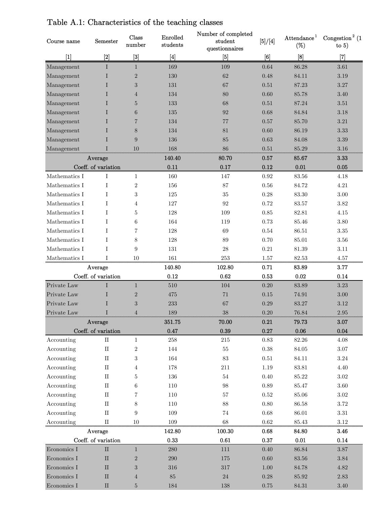| Course name         | Semester            | Class<br>$\hbox{number}$                                                                                                                                   | Enrolled<br>students | Number of completed<br>student<br>questionnaires | [5]/[4]    | Attendance <sup>1</sup><br>$(\%)$ | Congestion <sup>2</sup> (1)<br>to $5)$ |
|---------------------|---------------------|------------------------------------------------------------------------------------------------------------------------------------------------------------|----------------------|--------------------------------------------------|------------|-----------------------------------|----------------------------------------|
| $[1]$               | $[2]$               | $[3] % \includegraphics[width=0.9\columnwidth]{figures/fig_1a} \caption{Schematic diagram of the top of the top of the top of the right.} \label{fig:1} %$ | $[4]$                | [5]                                              | [6]        | [8]                               | $[7]$                                  |
| Management          | Ι                   | $\mathbf{1}$                                                                                                                                               | 169                  | 109                                              | 0.64       | 86.28                             | 3.61                                   |
| Management          | Ι                   | $\overline{2}$                                                                                                                                             | 130                  | 62                                               | 0.48       | 84.11                             | 3.19                                   |
| Management          | T                   | 3                                                                                                                                                          | 131                  | 67                                               | 0.51       | 87.23                             | 3.27                                   |
| Management          | T                   | $\overline{4}$                                                                                                                                             | 134                  | 80                                               | 0.60       | 85.78                             | 3.40                                   |
| Management          | T                   | $\overline{5}$                                                                                                                                             | 133                  | 68                                               | 0.51       | 87.24                             | 3.51                                   |
| Management          | T                   | 6                                                                                                                                                          | 135                  | 92                                               | 0.68       | 84.84                             | 3.18                                   |
| Management          | T                   | $\overline{7}$                                                                                                                                             | 134                  | 77                                               | 0.57       | 85.70                             | 3.21                                   |
| Management          | Ι                   | 8                                                                                                                                                          | 134                  | 81                                               | 0.60       | 86.19                             | 3.33                                   |
| Management          | I                   | 9                                                                                                                                                          | 136                  | 85                                               | 0.63       | 84.08                             | $3.39\,$                               |
| Management          | T                   | 10                                                                                                                                                         | 168                  | 86                                               | 0.51       | 85.29                             | 3.16                                   |
|                     | Average             |                                                                                                                                                            | 140.40               | 80.70                                            | 0.57       | 85.67                             | 3.33                                   |
| Coeff. of variation |                     |                                                                                                                                                            | 0.11                 | 0.17                                             | 0.12       | 0.01                              | 0.05                                   |
| Mathematics I       | Ι                   | $\mathbf{1}$                                                                                                                                               | 160                  | 147                                              | $\rm 0.92$ | 83.56                             | 4.18                                   |
| Mathematics I       | I                   | $\overline{2}$                                                                                                                                             | 156                  | 87                                               | 0.56       | 84.72                             | 4.21                                   |
| Mathematics I       | T                   | 3                                                                                                                                                          | 125                  | $35\,$                                           | 0.28       | 83.30                             | 3.00                                   |
| Mathematics I       | T                   | 4                                                                                                                                                          | 127                  | 92                                               | 0.72       | 83.57                             | 3.82                                   |
| Mathematics I       | Ι                   | 5                                                                                                                                                          | 128                  | 109                                              | 0.85       | 82.81                             | 4.15                                   |
| Mathematics I       | I                   | 6                                                                                                                                                          | 164                  | 119                                              | 0.73       | 85.46                             | 3.80                                   |
| Mathematics I       | I                   | 7                                                                                                                                                          | 128                  | 69                                               | 0.54       | 86.51                             | 3.35                                   |
| Mathematics I       | T                   | 8                                                                                                                                                          | 128                  | 89                                               | 0.70       | 85.01                             | 3.56                                   |
| Mathematics I       | I                   | 9                                                                                                                                                          | 131                  | 28                                               | $0.21\,$   | 81.39                             | 3.11                                   |
| Mathematics I       | I                   | 10                                                                                                                                                         | 161                  | 253                                              | 1.57       | 82.53                             | $4.57\,$                               |
|                     | Average             |                                                                                                                                                            | 140.80               | 102.80                                           | 0.71       | 83.89                             | 3.77                                   |
|                     | Coeff. of variation |                                                                                                                                                            | 0.12                 | 0.62                                             | 0.53       | 0.02                              | 0.14                                   |
| Private Law         | I                   | $\mathbf{1}$                                                                                                                                               | 510                  | 104                                              | 0.20       | 83.89                             | 3.23                                   |
| Private Law         | T                   | $\overline{2}$                                                                                                                                             | 475                  | 71                                               | 0.15       | 74.91                             | $3.00\,$                               |
| Private Law         | I                   | 3                                                                                                                                                          | 233                  | 67                                               | 0.29       | 83.27                             | 3.12                                   |
| Private Law         | I                   | $\overline{4}$                                                                                                                                             | 189                  | 38                                               | 0.20       | 76.84                             | 2.95                                   |
| Average             |                     |                                                                                                                                                            | 351.75               | 70.00                                            | 0.21       | 79.73                             | 3.07                                   |
|                     | Coeff. of variation |                                                                                                                                                            | 0.47                 | $\,0.39$                                         | $0.27\,$   | $0.06\,$                          | $\,0.04\,$                             |
| Accounting          | $\rm II$            | $\mathbf{1}$                                                                                                                                               | $258\,$              | $215\,$                                          | $0.83\,$   | $82.26\,$                         | 4.08                                   |
| Accounting          | $\;$ II             | $\boldsymbol{2}$                                                                                                                                           | 144                  | $55\,$                                           | $0.38\,$   | $84.05\,$                         | $3.07\,$                               |
| Accounting          | $\rm II$            | 3                                                                                                                                                          | 164                  | $83\,$                                           | $0.51\,$   | 84.11                             | $3.24\,$                               |
| Accounting          | $\;$ II             | 4                                                                                                                                                          | 178                  | 211                                              | $1.19\,$   | $83.81\,$                         | $4.40\,$                               |
| Accounting          | $\rm II$            | 5                                                                                                                                                          | 136                  | $54\,$                                           | $0.40\,$   | 85.22                             | $3.02\,$                               |
| Accounting          | $\;$ II             | 6                                                                                                                                                          | 110                  | 98                                               | $0.89\,$   | 85.47                             | $3.60\,$                               |
| Accounting          | $\;$ II             | 7                                                                                                                                                          | 110                  | 57                                               | 0.52       | 85.06                             | $3.02\,$                               |
| Accounting          | $\;$ II             | 8                                                                                                                                                          | 110                  | 88                                               | 0.80       | 86.58                             | 3.72                                   |
| Accounting          | $\;$ II             | $\boldsymbol{9}$                                                                                                                                           | 109                  | 74                                               | $\,0.68\,$ | 86.01                             | $3.31\,$                               |
| Accounting          | $\rm _{II}$         | 10                                                                                                                                                         | 109                  | 68                                               | $\,0.62\,$ | $85.43\,$                         | $3.12\,$                               |
| Average             |                     |                                                                                                                                                            | 142.80               | 100.30                                           | 0.68       | 84.80                             | 3.46                                   |
| Coeff. of variation |                     |                                                                                                                                                            | 0.33                 | 0.61                                             | 0.37       | 0.01                              | 0.14                                   |
| Economics I         | $\rm II$            | $\mathbf{1}$                                                                                                                                               | 280                  | $111\,$                                          | 0.40       | 86.84                             | $3.87\,$                               |
| Economics I         | $\mathbf{I}$        | $\boldsymbol{2}$                                                                                                                                           | 290                  | 175                                              | $0.60\,$   | $83.56\,$                         | $3.84\,$                               |
| Economics I         | $\mathbf{I}$        | 3                                                                                                                                                          | $316\,$              | 317                                              | 1.00       | 84.78                             | $4.82\,$                               |
| Economics I         | $\mathbf{I}$        | 4                                                                                                                                                          | 85                   | $24\,$                                           | 0.28       | 85.92                             | $2.83\,$                               |
| Economics I         | $\rm II$            | $\overline{5}$                                                                                                                                             | 184                  | 138                                              | 0.75       | 84.31                             | 3.40                                   |

# Table A.1: Characteristics of the teaching classes